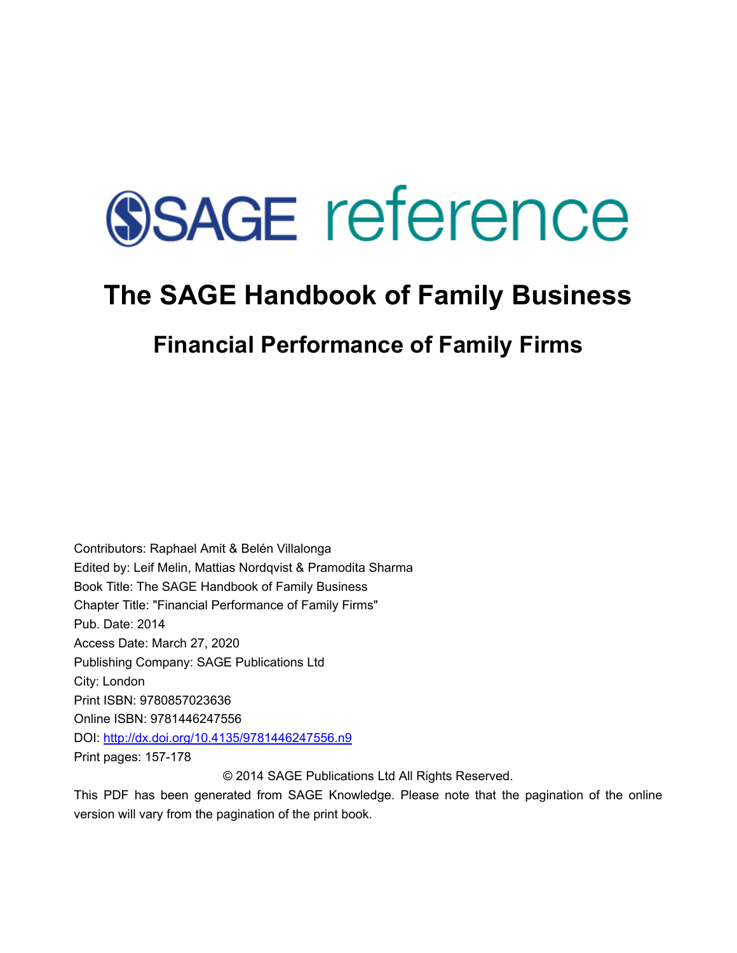# **SSAGE reference**

# **The SAGE Handbook of Family Business**

# **Financial Performance of Family Firms**

Contributors: Raphael Amit & Belén Villalonga Edited by: [Leif Melin](javascript:void(0);), [Mattias Nordqvist](javascript:void(0);) & [Pramodita Sharma](javascript:void(0);) Book Title: The SAGE Handbook of Family Business Chapter Title: "Financial Performance of Family Firms" Pub. Date: 2014 Access Date: March 27, 2020 Publishing Company: SAGE Publications Ltd City: London Print ISBN: 9780857023636 Online ISBN: 9781446247556 DOI: <http://dx.doi.org/10.4135/9781446247556.n9> Print pages: 157-178

© 2014 SAGE Publications Ltd All Rights Reserved.

This PDF has been generated from SAGE Knowledge. Please note that the pagination of the online version will vary from the pagination of the print book.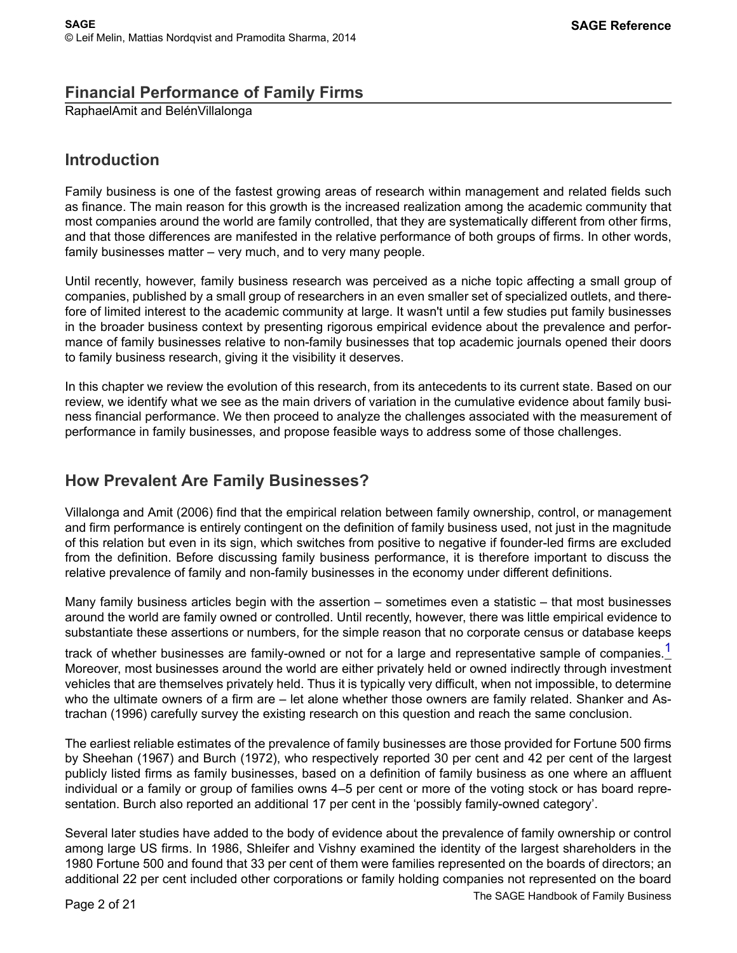## **Financial Performance of Family Firms**

RaphaelAmit and BelénVillalonga

#### **Introduction**

Family business is one of the fastest growing areas of research within management and related fields such as finance. The main reason for this growth is the increased realization among the academic community that most companies around the world are family controlled, that they are systematically different from other firms, and that those differences are manifested in the relative performance of both groups of firms. In other words, family businesses matter – very much, and to very many people.

Until recently, however, family business research was perceived as a niche topic affecting a small group of companies, published by a small group of researchers in an even smaller set of specialized outlets, and therefore of limited interest to the academic community at large. It wasn't until a few studies put family businesses in the broader business context by presenting rigorous empirical evidence about the prevalence and performance of family businesses relative to non-family businesses that top academic journals opened their doors to family business research, giving it the visibility it deserves.

In this chapter we review the evolution of this research, from its antecedents to its current state. Based on our review, we identify what we see as the main drivers of variation in the cumulative evidence about family business financial performance. We then proceed to analyze the challenges associated with the measurement of performance in family businesses, and propose feasible ways to address some of those challenges.

#### **How Prevalent Are Family Businesses?**

Villalonga and Amit (2006) find that the empirical relation between family ownership, control, or management and firm performance is entirely contingent on the definition of family business used, not just in the magnitude of this relation but even in its sign, which switches from positive to negative if founder-led firms are excluded from the definition. Before discussing family business performance, it is therefore important to discuss the relative prevalence of family and non-family businesses in the economy under different definitions.

Many family business articles begin with the assertion – sometimes even a statistic – that most businesses around the world are family owned or controlled. Until recently, however, there was little empirical evidence to substantiate these assertions or numbers, for the simple reason that no corporate census or database keeps

track of whether businesses are family-owned or not for a large and representative sample of companies.<sup>1</sup> Moreover, most businesses around the world are either privately held or owned indirectly through investment vehicles that are themselves privately held. Thus it is typically very difficult, when not impossible, to determine who the ultimate owners of a firm are – let alone whether those owners are family related. Shanker and Astrachan (1996) carefully survey the existing research on this question and reach the same conclusion.

The earliest reliable estimates of the prevalence of family businesses are those provided for Fortune 500 firms by Sheehan (1967) and Burch (1972), who respectively reported 30 per cent and 42 per cent of the largest publicly listed firms as family businesses, based on a definition of family business as one where an affluent individual or a family or group of families owns 4–5 per cent or more of the voting stock or has board representation. Burch also reported an additional 17 per cent in the 'possibly family-owned category'.

Several later studies have added to the body of evidence about the prevalence of family ownership or control among large US firms. In 1986, Shleifer and Vishny examined the identity of the largest shareholders in the 1980 Fortune 500 and found that 33 per cent of them were families represented on the boards of directors; an additional 22 per cent included other corporations or family holding companies not represented on the board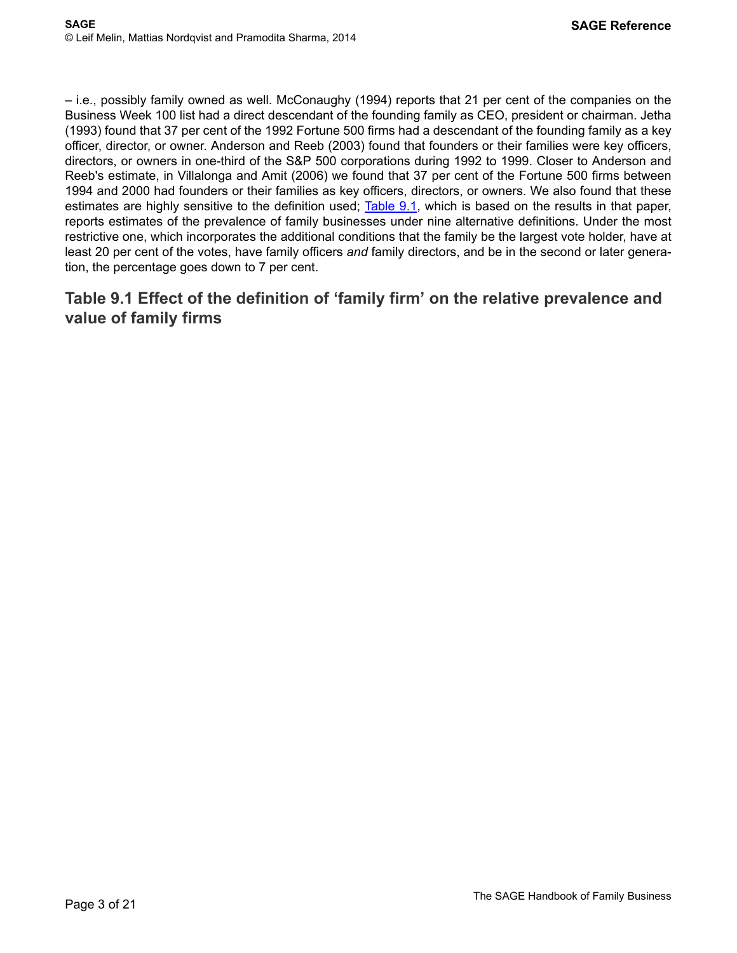– i.e., possibly family owned as well. McConaughy (1994) reports that 21 per cent of the companies on the Business Week 100 list had a direct descendant of the founding family as CEO, president or chairman. Jetha (1993) found that 37 per cent of the 1992 Fortune 500 firms had a descendant of the founding family as a key officer, director, or owner. Anderson and Reeb (2003) found that founders or their families were key officers, directors, or owners in one-third of the S&P 500 corporations during 1992 to 1999. Closer to Anderson and Reeb's estimate, in Villalonga and Amit (2006) we found that 37 per cent of the Fortune 500 firms between 1994 and 2000 had founders or their families as key officers, directors, or owners. We also found that these estimates are highly sensitive to the definition used; [Table 9.1,](#page-2-0) which is based on the results in that paper, reports estimates of the prevalence of family businesses under nine alternative definitions. Under the most restrictive one, which incorporates the additional conditions that the family be the largest vote holder, have at least 20 per cent of the votes, have family officers *and* family directors, and be in the second or later generation, the percentage goes down to 7 per cent.

#### <span id="page-2-0"></span>**Table 9.1 Effect of the definition of 'family firm' on the relative prevalence and value of family firms**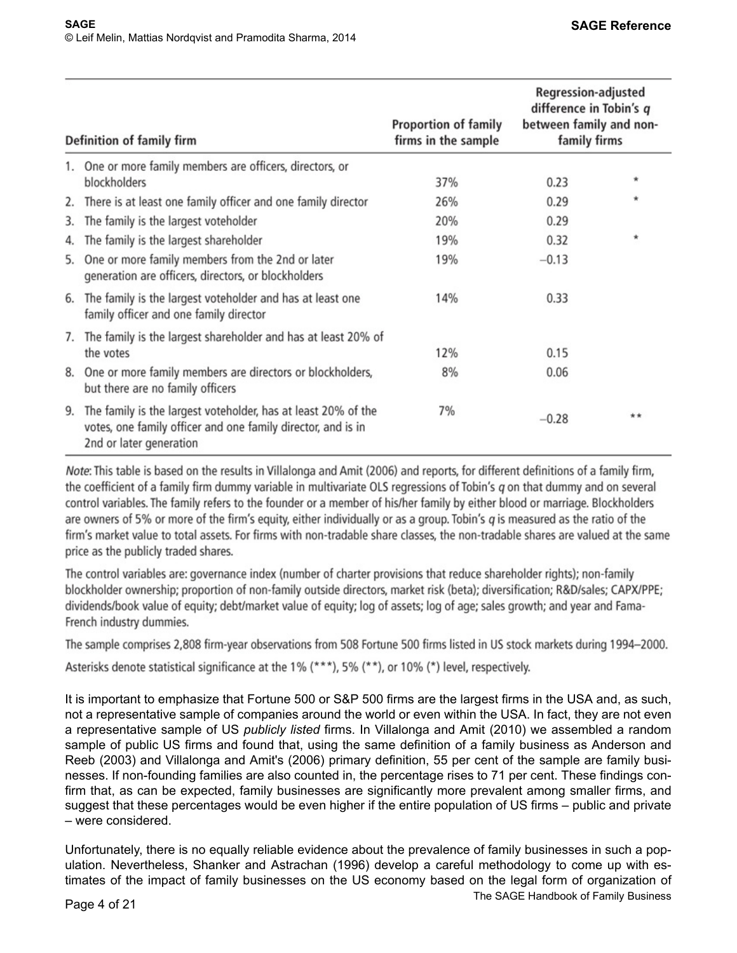|    | Definition of family firm                                                                                                                                | <b>Proportion of family</b><br>firms in the sample | Regression-adjusted<br>difference in Tobin's q<br>between family and non-<br>family firms |         |  |
|----|----------------------------------------------------------------------------------------------------------------------------------------------------------|----------------------------------------------------|-------------------------------------------------------------------------------------------|---------|--|
|    | 1. One or more family members are officers, directors, or<br>blockholders                                                                                | 37%                                                | 0.23                                                                                      | *       |  |
| 2. | There is at least one family officer and one family director                                                                                             | 26%                                                | 0.29                                                                                      | $\star$ |  |
| 3. | The family is the largest voteholder                                                                                                                     | 20%                                                | 0.29                                                                                      |         |  |
| 4. | The family is the largest shareholder                                                                                                                    | 19%                                                | 0.32                                                                                      | *       |  |
| 5. | One or more family members from the 2nd or later<br>generation are officers, directors, or blockholders                                                  | 19%                                                | $-0.13$                                                                                   |         |  |
|    | 6. The family is the largest voteholder and has at least one<br>family officer and one family director                                                   | 14%                                                | 0.33                                                                                      |         |  |
| 7. | The family is the largest shareholder and has at least 20% of                                                                                            |                                                    |                                                                                           |         |  |
|    | the votes                                                                                                                                                | 12%                                                | 0.15                                                                                      |         |  |
| 8. | One or more family members are directors or blockholders,<br>but there are no family officers                                                            | 8%                                                 | 0.06                                                                                      |         |  |
| 9. | The family is the largest voteholder, has at least 20% of the<br>votes, one family officer and one family director, and is in<br>2nd or later generation | 7%                                                 | $-0.28$                                                                                   | **      |  |

Note: This table is based on the results in Villalonga and Amit (2006) and reports, for different definitions of a family firm, the coefficient of a family firm dummy variable in multivariate OLS regressions of Tobin's q on that dummy and on several control variables. The family refers to the founder or a member of his/her family by either blood or marriage. Blockholders are owners of 5% or more of the firm's equity, either individually or as a group. Tobin's  $q$  is measured as the ratio of the firm's market value to total assets. For firms with non-tradable share classes, the non-tradable shares are valued at the same price as the publicly traded shares.

The control variables are: governance index (number of charter provisions that reduce shareholder rights); non-family blockholder ownership; proportion of non-family outside directors, market risk (beta); diversification; R&D/sales; CAPX/PPE; dividends/book value of equity; debt/market value of equity; log of assets; log of age; sales growth; and year and Fama-French industry dummies.

The sample comprises 2,808 firm-year observations from 508 Fortune 500 firms listed in US stock markets during 1994–2000.

Asterisks denote statistical significance at the 1% (\*\*\*), 5% (\*\*), or 10% (\*) level, respectively.

It is important to emphasize that Fortune 500 or S&P 500 firms are the largest firms in the USA and, as such, not a representative sample of companies around the world or even within the USA. In fact, they are not even a representative sample of US *publicly listed* firms. In Villalonga and Amit (2010) we assembled a random sample of public US firms and found that, using the same definition of a family business as Anderson and Reeb (2003) and Villalonga and Amit's (2006) primary definition, 55 per cent of the sample are family businesses. If non-founding families are also counted in, the percentage rises to 71 per cent. These findings confirm that, as can be expected, family businesses are significantly more prevalent among smaller firms, and suggest that these percentages would be even higher if the entire population of US firms – public and private – were considered.

Unfortunately, there is no equally reliable evidence about the prevalence of family businesses in such a population. Nevertheless, Shanker and Astrachan (1996) develop a careful methodology to come up with estimates of the impact of family businesses on the US economy based on the legal form of organization of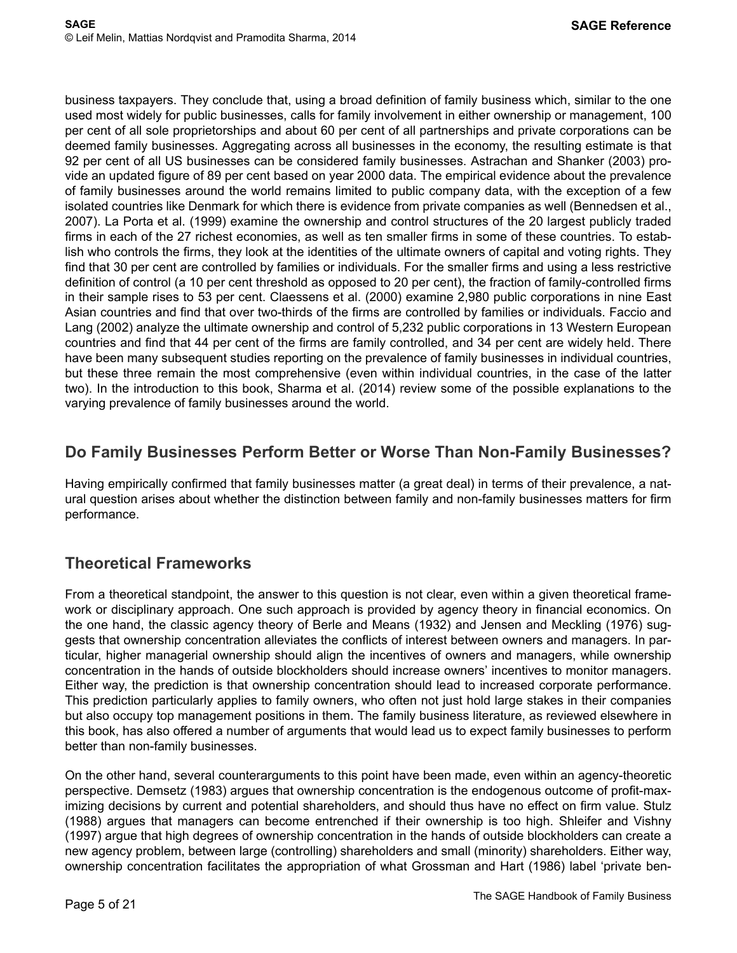business taxpayers. They conclude that, using a broad definition of family business which, similar to the one used most widely for public businesses, calls for family involvement in either ownership or management, 100 per cent of all sole proprietorships and about 60 per cent of all partnerships and private corporations can be deemed family businesses. Aggregating across all businesses in the economy, the resulting estimate is that 92 per cent of all US businesses can be considered family businesses. Astrachan and Shanker (2003) provide an updated figure of 89 per cent based on year 2000 data. The empirical evidence about the prevalence of family businesses around the world remains limited to public company data, with the exception of a few isolated countries like Denmark for which there is evidence from private companies as well (Bennedsen et al., 2007). La Porta et al. (1999) examine the ownership and control structures of the 20 largest publicly traded firms in each of the 27 richest economies, as well as ten smaller firms in some of these countries. To establish who controls the firms, they look at the identities of the ultimate owners of capital and voting rights. They find that 30 per cent are controlled by families or individuals. For the smaller firms and using a less restrictive definition of control (a 10 per cent threshold as opposed to 20 per cent), the fraction of family-controlled firms in their sample rises to 53 per cent. Claessens et al. (2000) examine 2,980 public corporations in nine East Asian countries and find that over two-thirds of the firms are controlled by families or individuals. Faccio and Lang (2002) analyze the ultimate ownership and control of 5,232 public corporations in 13 Western European countries and find that 44 per cent of the firms are family controlled, and 34 per cent are widely held. There have been many subsequent studies reporting on the prevalence of family businesses in individual countries, but these three remain the most comprehensive (even within individual countries, in the case of the latter two). In the introduction to this book, Sharma et al. (2014) review some of the possible explanations to the varying prevalence of family businesses around the world.

## **Do Family Businesses Perform Better or Worse Than Non-Family Businesses?**

Having empirically confirmed that family businesses matter (a great deal) in terms of their prevalence, a natural question arises about whether the distinction between family and non-family businesses matters for firm performance.

#### **Theoretical Frameworks**

From a theoretical standpoint, the answer to this question is not clear, even within a given theoretical framework or disciplinary approach. One such approach is provided by agency theory in financial economics. On the one hand, the classic agency theory of Berle and Means (1932) and Jensen and Meckling (1976) suggests that ownership concentration alleviates the conflicts of interest between owners and managers. In particular, higher managerial ownership should align the incentives of owners and managers, while ownership concentration in the hands of outside blockholders should increase owners' incentives to monitor managers. Either way, the prediction is that ownership concentration should lead to increased corporate performance. This prediction particularly applies to family owners, who often not just hold large stakes in their companies but also occupy top management positions in them. The family business literature, as reviewed elsewhere in this book, has also offered a number of arguments that would lead us to expect family businesses to perform better than non-family businesses.

On the other hand, several counterarguments to this point have been made, even within an agency-theoretic perspective. Demsetz (1983) argues that ownership concentration is the endogenous outcome of profit-maximizing decisions by current and potential shareholders, and should thus have no effect on firm value. Stulz (1988) argues that managers can become entrenched if their ownership is too high. Shleifer and Vishny (1997) argue that high degrees of ownership concentration in the hands of outside blockholders can create a new agency problem, between large (controlling) shareholders and small (minority) shareholders. Either way, ownership concentration facilitates the appropriation of what Grossman and Hart (1986) label 'private ben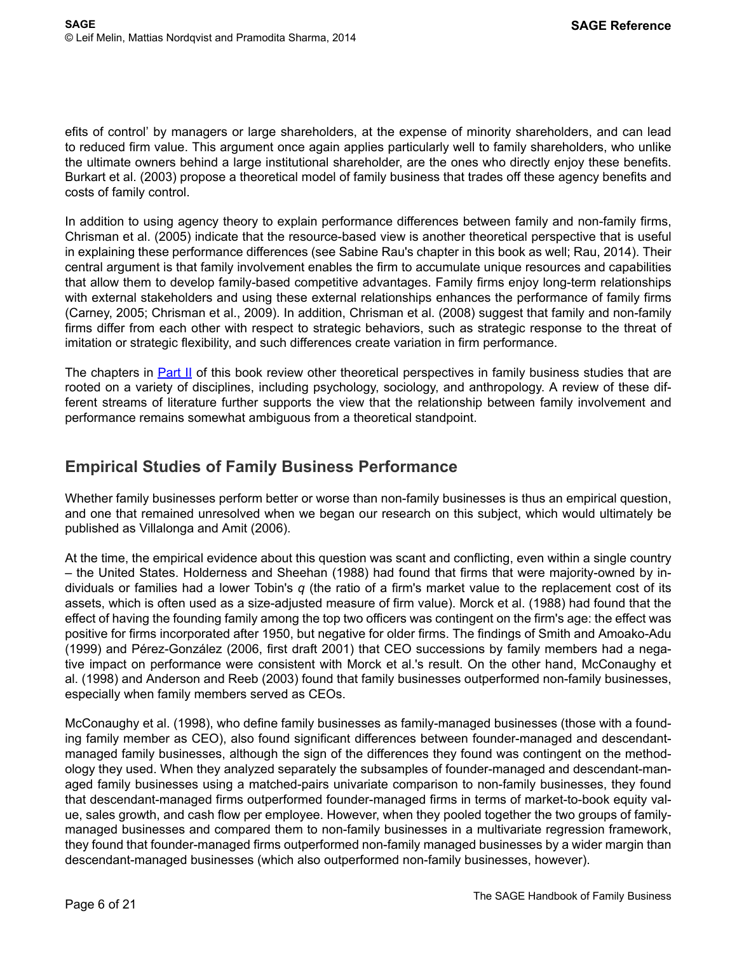efits of control' by managers or large shareholders, at the expense of minority shareholders, and can lead to reduced firm value. This argument once again applies particularly well to family shareholders, who unlike the ultimate owners behind a large institutional shareholder, are the ones who directly enjoy these benefits. Burkart et al. (2003) propose a theoretical model of family business that trades off these agency benefits and costs of family control.

In addition to using agency theory to explain performance differences between family and non-family firms, Chrisman et al. (2005) indicate that the resource-based view is another theoretical perspective that is useful in explaining these performance differences (see Sabine Rau's chapter in this book as well; Rau, 2014). Their central argument is that family involvement enables the firm to accumulate unique resources and capabilities that allow them to develop family-based competitive advantages. Family firms enjoy long-term relationships with external stakeholders and using these external relationships enhances the performance of family firms (Carney, 2005; Chrisman et al., 2009). In addition, Chrisman et al. (2008) suggest that family and non-family firms differ from each other with respect to strategic behaviors, such as strategic response to the threat of imitation or strategic flexibility, and such differences create variation in firm performance.

The chapters in [Part II](http://sk.sagepub.com/reference/hdbk_familybusiness/d149.xml) of this book review other theoretical perspectives in family business studies that are rooted on a variety of disciplines, including psychology, sociology, and anthropology. A review of these different streams of literature further supports the view that the relationship between family involvement and performance remains somewhat ambiguous from a theoretical standpoint.

#### **Empirical Studies of Family Business Performance**

Whether family businesses perform better or worse than non-family businesses is thus an empirical question, and one that remained unresolved when we began our research on this subject, which would ultimately be published as Villalonga and Amit (2006).

At the time, the empirical evidence about this question was scant and conflicting, even within a single country – the United States. Holderness and Sheehan (1988) had found that firms that were majority-owned by individuals or families had a lower Tobin's *q* (the ratio of a firm's market value to the replacement cost of its assets, which is often used as a size-adjusted measure of firm value). Morck et al. (1988) had found that the effect of having the founding family among the top two officers was contingent on the firm's age: the effect was positive for firms incorporated after 1950, but negative for older firms. The findings of Smith and Amoako-Adu (1999) and Pérez-González (2006, first draft 2001) that CEO successions by family members had a negative impact on performance were consistent with Morck et al.'s result. On the other hand, McConaughy et al. (1998) and Anderson and Reeb (2003) found that family businesses outperformed non-family businesses, especially when family members served as CEOs.

McConaughy et al. (1998), who define family businesses as family-managed businesses (those with a founding family member as CEO), also found significant differences between founder-managed and descendantmanaged family businesses, although the sign of the differences they found was contingent on the methodology they used. When they analyzed separately the subsamples of founder-managed and descendant-managed family businesses using a matched-pairs univariate comparison to non-family businesses, they found that descendant-managed firms outperformed founder-managed firms in terms of market-to-book equity value, sales growth, and cash flow per employee. However, when they pooled together the two groups of familymanaged businesses and compared them to non-family businesses in a multivariate regression framework, they found that founder-managed firms outperformed non-family managed businesses by a wider margin than descendant-managed businesses (which also outperformed non-family businesses, however).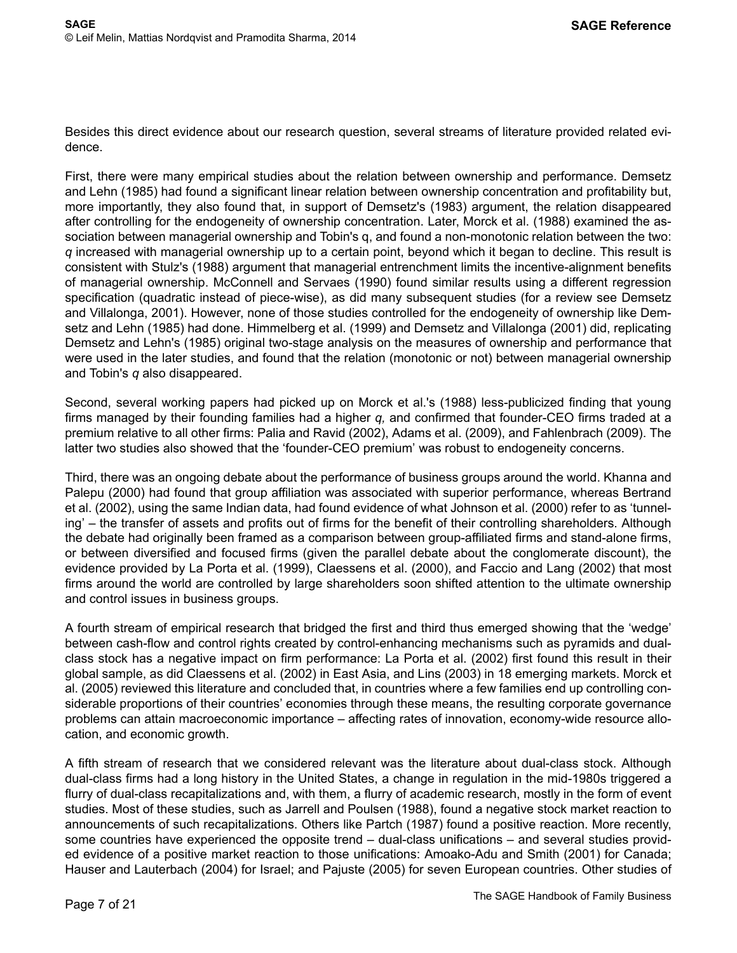Besides this direct evidence about our research question, several streams of literature provided related evidence.

First, there were many empirical studies about the relation between ownership and performance. Demsetz and Lehn (1985) had found a significant linear relation between ownership concentration and profitability but, more importantly, they also found that, in support of Demsetz's (1983) argument, the relation disappeared after controlling for the endogeneity of ownership concentration. Later, Morck et al. (1988) examined the association between managerial ownership and Tobin's q, and found a non-monotonic relation between the two: *q* increased with managerial ownership up to a certain point, beyond which it began to decline. This result is consistent with Stulz's (1988) argument that managerial entrenchment limits the incentive-alignment benefits of managerial ownership. McConnell and Servaes (1990) found similar results using a different regression specification (quadratic instead of piece-wise), as did many subsequent studies (for a review see Demsetz and Villalonga, 2001). However, none of those studies controlled for the endogeneity of ownership like Demsetz and Lehn (1985) had done. Himmelberg et al. (1999) and Demsetz and Villalonga (2001) did, replicating Demsetz and Lehn's (1985) original two-stage analysis on the measures of ownership and performance that were used in the later studies, and found that the relation (monotonic or not) between managerial ownership and Tobin's *q* also disappeared.

Second, several working papers had picked up on Morck et al.'s (1988) less-publicized finding that young firms managed by their founding families had a higher *q,* and confirmed that founder-CEO firms traded at a premium relative to all other firms: Palia and Ravid (2002), Adams et al. (2009), and Fahlenbrach (2009). The latter two studies also showed that the 'founder-CEO premium' was robust to endogeneity concerns.

Third, there was an ongoing debate about the performance of business groups around the world. Khanna and Palepu (2000) had found that group affiliation was associated with superior performance, whereas Bertrand et al. (2002), using the same Indian data, had found evidence of what Johnson et al. (2000) refer to as 'tunneling' – the transfer of assets and profits out of firms for the benefit of their controlling shareholders. Although the debate had originally been framed as a comparison between group-affiliated firms and stand-alone firms, or between diversified and focused firms (given the parallel debate about the conglomerate discount), the evidence provided by La Porta et al. (1999), Claessens et al. (2000), and Faccio and Lang (2002) that most firms around the world are controlled by large shareholders soon shifted attention to the ultimate ownership and control issues in business groups.

A fourth stream of empirical research that bridged the first and third thus emerged showing that the 'wedge' between cash-flow and control rights created by control-enhancing mechanisms such as pyramids and dualclass stock has a negative impact on firm performance: La Porta et al. (2002) first found this result in their global sample, as did Claessens et al. (2002) in East Asia, and Lins (2003) in 18 emerging markets. Morck et al. (2005) reviewed this literature and concluded that, in countries where a few families end up controlling considerable proportions of their countries' economies through these means, the resulting corporate governance problems can attain macroeconomic importance – affecting rates of innovation, economy-wide resource allocation, and economic growth.

A fifth stream of research that we considered relevant was the literature about dual-class stock. Although dual-class firms had a long history in the United States, a change in regulation in the mid-1980s triggered a flurry of dual-class recapitalizations and, with them, a flurry of academic research, mostly in the form of event studies. Most of these studies, such as Jarrell and Poulsen (1988), found a negative stock market reaction to announcements of such recapitalizations. Others like Partch (1987) found a positive reaction. More recently, some countries have experienced the opposite trend – dual-class unifications – and several studies provided evidence of a positive market reaction to those unifications: Amoako-Adu and Smith (2001) for Canada; Hauser and Lauterbach (2004) for Israel; and Pajuste (2005) for seven European countries. Other studies of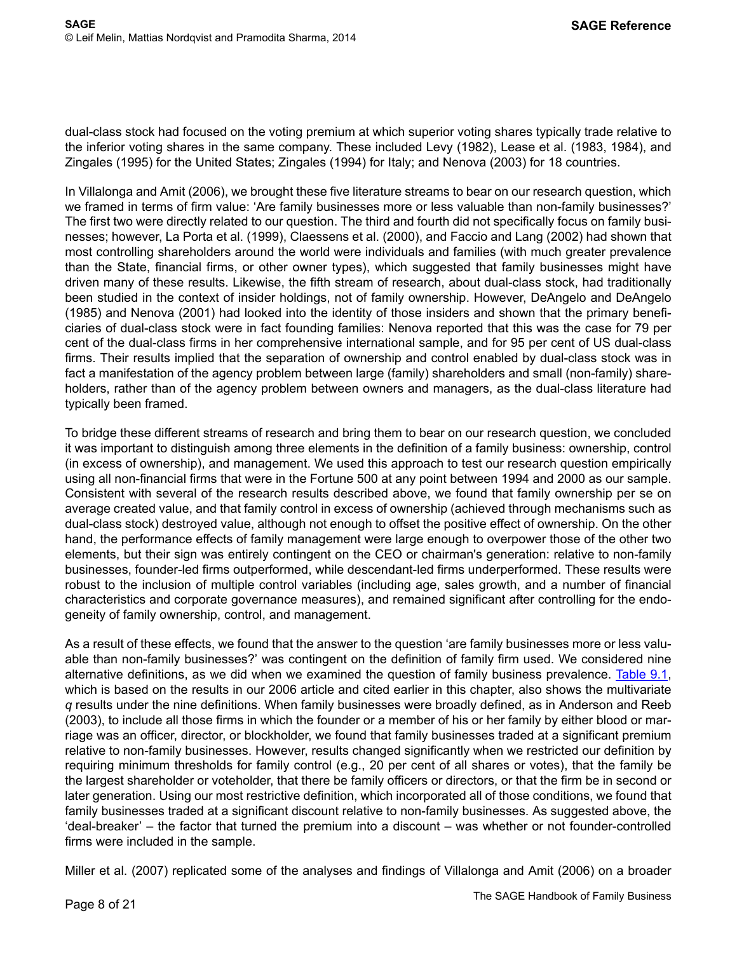dual-class stock had focused on the voting premium at which superior voting shares typically trade relative to the inferior voting shares in the same company. These included Levy (1982), Lease et al. (1983, 1984), and Zingales (1995) for the United States; Zingales (1994) for Italy; and Nenova (2003) for 18 countries.

In Villalonga and Amit (2006), we brought these five literature streams to bear on our research question, which we framed in terms of firm value: 'Are family businesses more or less valuable than non-family businesses?' The first two were directly related to our question. The third and fourth did not specifically focus on family businesses; however, La Porta et al. (1999), Claessens et al. (2000), and Faccio and Lang (2002) had shown that most controlling shareholders around the world were individuals and families (with much greater prevalence than the State, financial firms, or other owner types), which suggested that family businesses might have driven many of these results. Likewise, the fifth stream of research, about dual-class stock, had traditionally been studied in the context of insider holdings, not of family ownership. However, DeAngelo and DeAngelo (1985) and Nenova (2001) had looked into the identity of those insiders and shown that the primary beneficiaries of dual-class stock were in fact founding families: Nenova reported that this was the case for 79 per cent of the dual-class firms in her comprehensive international sample, and for 95 per cent of US dual-class firms. Their results implied that the separation of ownership and control enabled by dual-class stock was in fact a manifestation of the agency problem between large (family) shareholders and small (non-family) shareholders, rather than of the agency problem between owners and managers, as the dual-class literature had typically been framed.

To bridge these different streams of research and bring them to bear on our research question, we concluded it was important to distinguish among three elements in the definition of a family business: ownership, control (in excess of ownership), and management. We used this approach to test our research question empirically using all non-financial firms that were in the Fortune 500 at any point between 1994 and 2000 as our sample. Consistent with several of the research results described above, we found that family ownership per se on average created value, and that family control in excess of ownership (achieved through mechanisms such as dual-class stock) destroyed value, although not enough to offset the positive effect of ownership. On the other hand, the performance effects of family management were large enough to overpower those of the other two elements, but their sign was entirely contingent on the CEO or chairman's generation: relative to non-family businesses, founder-led firms outperformed, while descendant-led firms underperformed. These results were robust to the inclusion of multiple control variables (including age, sales growth, and a number of financial characteristics and corporate governance measures), and remained significant after controlling for the endogeneity of family ownership, control, and management.

As a result of these effects, we found that the answer to the question 'are family businesses more or less valuable than non-family businesses?' was contingent on the definition of family firm used. We considered nine alternative definitions, as we did when we examined the question of family business prevalence. [Table 9.1](#page-2-0), which is based on the results in our 2006 article and cited earlier in this chapter, also shows the multivariate *q* results under the nine definitions. When family businesses were broadly defined, as in Anderson and Reeb (2003), to include all those firms in which the founder or a member of his or her family by either blood or marriage was an officer, director, or blockholder, we found that family businesses traded at a significant premium relative to non-family businesses. However, results changed significantly when we restricted our definition by requiring minimum thresholds for family control (e.g., 20 per cent of all shares or votes), that the family be the largest shareholder or voteholder, that there be family officers or directors, or that the firm be in second or later generation. Using our most restrictive definition, which incorporated all of those conditions, we found that family businesses traded at a significant discount relative to non-family businesses. As suggested above, the 'deal-breaker' – the factor that turned the premium into a discount – was whether or not founder-controlled firms were included in the sample.

Miller et al. (2007) replicated some of the analyses and findings of Villalonga and Amit (2006) on a broader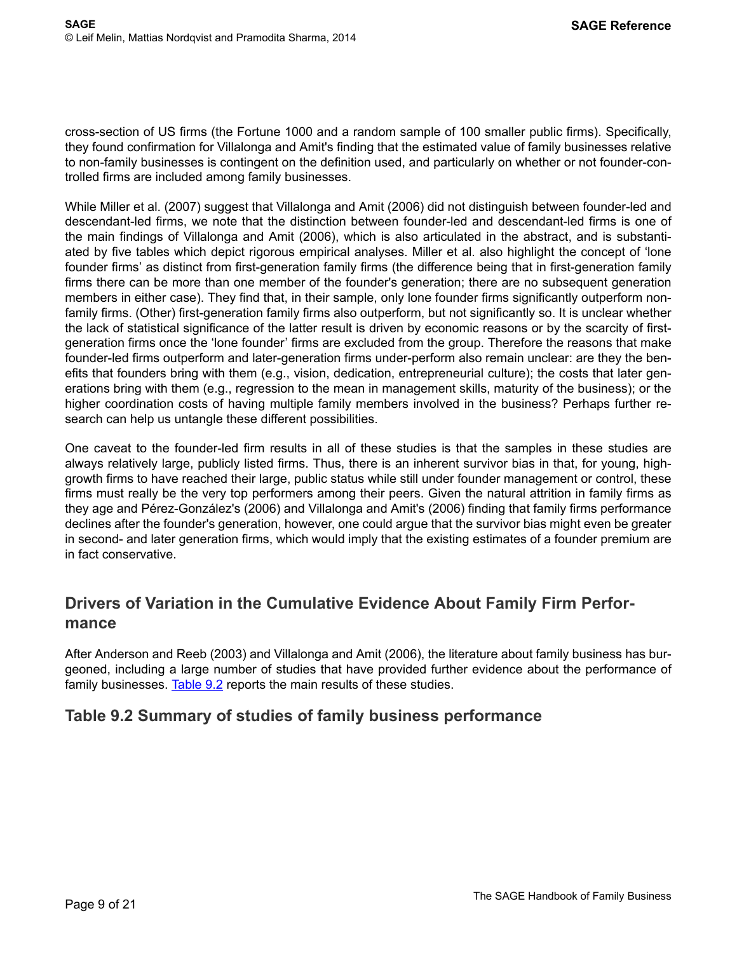cross-section of US firms (the Fortune 1000 and a random sample of 100 smaller public firms). Specifically, they found confirmation for Villalonga and Amit's finding that the estimated value of family businesses relative to non-family businesses is contingent on the definition used, and particularly on whether or not founder-controlled firms are included among family businesses.

While Miller et al. (2007) suggest that Villalonga and Amit (2006) did not distinguish between founder-led and descendant-led firms, we note that the distinction between founder-led and descendant-led firms is one of the main findings of Villalonga and Amit (2006), which is also articulated in the abstract, and is substantiated by five tables which depict rigorous empirical analyses. Miller et al. also highlight the concept of 'lone founder firms' as distinct from first-generation family firms (the difference being that in first-generation family firms there can be more than one member of the founder's generation; there are no subsequent generation members in either case). They find that, in their sample, only lone founder firms significantly outperform nonfamily firms. (Other) first-generation family firms also outperform, but not significantly so. It is unclear whether the lack of statistical significance of the latter result is driven by economic reasons or by the scarcity of firstgeneration firms once the 'lone founder' firms are excluded from the group. Therefore the reasons that make founder-led firms outperform and later-generation firms under-perform also remain unclear: are they the benefits that founders bring with them (e.g., vision, dedication, entrepreneurial culture); the costs that later generations bring with them (e.g., regression to the mean in management skills, maturity of the business); or the higher coordination costs of having multiple family members involved in the business? Perhaps further research can help us untangle these different possibilities.

One caveat to the founder-led firm results in all of these studies is that the samples in these studies are always relatively large, publicly listed firms. Thus, there is an inherent survivor bias in that, for young, highgrowth firms to have reached their large, public status while still under founder management or control, these firms must really be the very top performers among their peers. Given the natural attrition in family firms as they age and Pérez-González's (2006) and Villalonga and Amit's (2006) finding that family firms performance declines after the founder's generation, however, one could argue that the survivor bias might even be greater in second- and later generation firms, which would imply that the existing estimates of a founder premium are in fact conservative.

## **Drivers of Variation in the Cumulative Evidence About Family Firm Performance**

After Anderson and Reeb (2003) and Villalonga and Amit (2006), the literature about family business has burgeoned, including a large number of studies that have provided further evidence about the performance of family businesses. [Table 9.2](#page-8-0) reports the main results of these studies.

#### <span id="page-8-0"></span>**Table 9.2 Summary of studies of family business performance**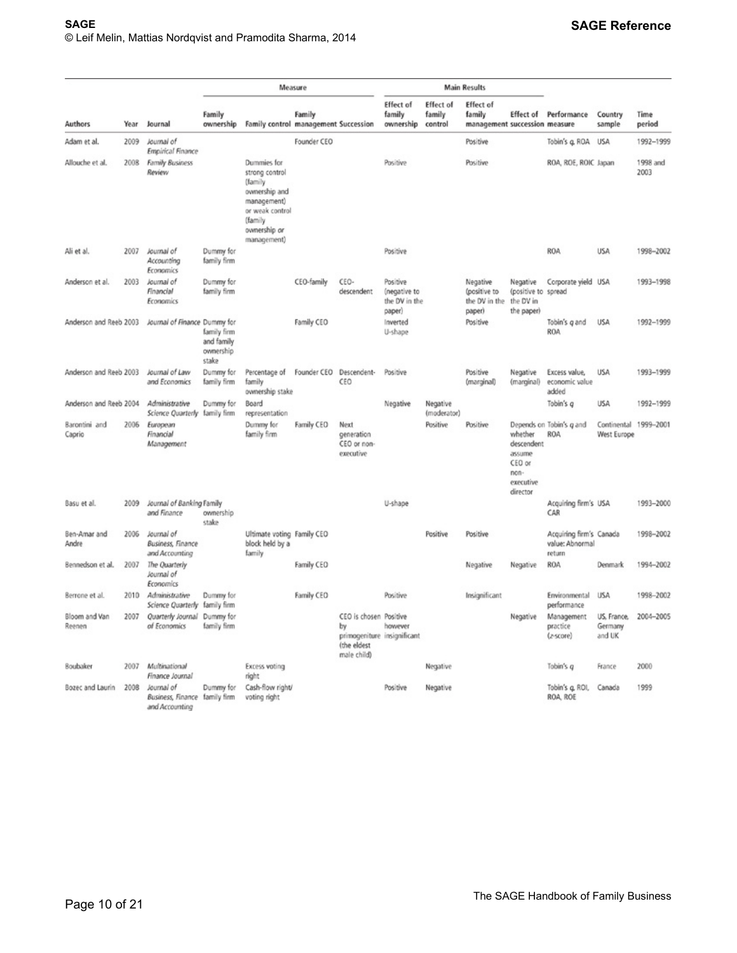|                         |      |                                                               | Measure                                          |                                                                                                                                       |                         |                                                                                           |                                                     |                                       | <b>Main Results</b>                                         |                                                                            |                                                           |                                      |                  |
|-------------------------|------|---------------------------------------------------------------|--------------------------------------------------|---------------------------------------------------------------------------------------------------------------------------------------|-------------------------|-------------------------------------------------------------------------------------------|-----------------------------------------------------|---------------------------------------|-------------------------------------------------------------|----------------------------------------------------------------------------|-----------------------------------------------------------|--------------------------------------|------------------|
| Authors                 | Year | Journal                                                       | Family<br>ownership                              | Family control management Succession                                                                                                  | Family                  |                                                                                           | <b>Effect of</b><br>family<br>ownership             | <b>Effect of</b><br>family<br>control | <b>Effect of</b><br>family<br>management succession measure | Effect of                                                                  | Performance                                               | Country<br>sample                    | Time<br>period   |
| Adam et al.             | 2009 | Journal of<br><b>Empirical Finance</b>                        |                                                  |                                                                                                                                       | Founder CEO             |                                                                                           |                                                     |                                       | Positive                                                    |                                                                            | Tobin's q. ROA                                            | USA                                  | 1992-1999        |
| Allouche et al.         | 2008 | <b>Family Business</b><br>Review                              |                                                  | Dummies for<br>strong control<br>(family<br>ownership and<br>management)<br>or weak control<br>(family<br>ownership or<br>management) |                         |                                                                                           | Positive                                            |                                       | Positive                                                    |                                                                            | ROA, ROE, ROIC Japan                                      |                                      | 1998 and<br>2003 |
| Ali et al.              | 2007 | Journal of<br>Accounting<br>Economics                         | Dummy for<br>family firm                         |                                                                                                                                       |                         |                                                                                           | Positive                                            |                                       |                                                             |                                                                            | ROA                                                       | USA                                  | 1998-2002        |
| Anderson et al.         | 2003 | Journal of<br>Financial<br>Economics                          | Dummy for<br>family firm                         |                                                                                                                                       | CEO-family              | CEO-<br>descendent                                                                        | Positive<br>(negative to<br>the DV in the<br>paper) |                                       | Negative<br>(positive to<br>the DV in the<br>paper)         | Negative<br>(positive to spread<br>the DV in<br>the paper)                 | Corporate yield USA                                       |                                      | 1993-1998        |
| Anderson and Reeb 2003  |      | Journal of Finance Dummy for                                  | family firm<br>and family<br>ownership.<br>stake |                                                                                                                                       | Family CEO              |                                                                                           | Inverted<br>U-shape                                 |                                       | Positive                                                    |                                                                            | Tobin's g and<br>ROA                                      | USA                                  | 1992-1999        |
| Anderson and Reeb 2003  |      | Journal of Law<br>and Economics                               | Dummy for<br>family firm                         | Percentage of<br>family<br>ownership stake                                                                                            | Founder CEO Descendent- | CEO                                                                                       | Positive                                            |                                       | Positive<br>(marginal)                                      | Negative<br>(marginal)                                                     | Excess value,<br>economic value<br>added                  | <b>USA</b>                           | 1993-1999        |
| Anderson and Reeb 2004  |      | Administrative<br>Science Quarterly                           | Dummy for<br>family firm                         | Board<br>representation                                                                                                               |                         |                                                                                           | Negative                                            | Negative<br>(moderator)               |                                                             |                                                                            | Tobin's a                                                 | <b>USA</b>                           | 1992-1999        |
| Barontini and<br>Caprio | 2006 | European<br>Financial<br>Management                           |                                                  | Dummy for<br>family firm                                                                                                              | Family CEO              | Next<br>generation<br>CEO or non-<br>executive                                            |                                                     | Positive                              | Positive                                                    | whether<br>descendent<br>assume<br>CEO or<br>non-<br>executive<br>director | Depends on Tobin's q and<br><b>ROA</b>                    | Continental 1999-2001<br>West Europe |                  |
| Basu et al.             | 2009 | Journal of Banking Family<br>and Finance                      | ownership<br>stake                               |                                                                                                                                       |                         |                                                                                           | U-shape                                             |                                       |                                                             |                                                                            | Acquiring firm's USA<br>CAR                               |                                      | 1993-2000        |
| Ben-Amar and<br>Andre   | 2006 | Journal of<br><b>Business</b> , Finance<br>and Accounting     |                                                  | Ultimate voting Family CEO<br>block held by a<br>family                                                                               |                         |                                                                                           |                                                     | Positive                              | Positive                                                    |                                                                            | Acquiring firm's Canada<br>value: Abnormal<br>return      |                                      | 1998-2002        |
| Bennedson et al.        | 2007 | The Quarterly<br>Journal of<br>Economics                      |                                                  |                                                                                                                                       | Family CEO              |                                                                                           |                                                     |                                       | Negative                                                    | Negative                                                                   | <b>ROA</b>                                                | Denmark                              | 1994-2002        |
| Berrone et al.          | 2010 | Administrative<br>Science Quarterly family firm               | Dummy for                                        |                                                                                                                                       | Family CEO              |                                                                                           | Positive                                            |                                       | Insignificant                                               |                                                                            | Environmental<br>performance                              | <b>USA</b>                           | 1998-2002        |
| Bloom and Van<br>Reenen |      | 2007 Quarterly Journal Dummy for<br>of Economics              | family firm                                      |                                                                                                                                       |                         | CEO is chosen Positive<br>by<br>primogeniture insignificant<br>(the eldest<br>male child) | however                                             |                                       |                                                             | Negative                                                                   | Management US, France, 2004-2005<br>practice<br>(z-score) | Germany<br>and UK                    |                  |
| Boubaker                | 2007 | Multinational<br>Finance Journal                              |                                                  | Excess voting<br>right                                                                                                                |                         |                                                                                           |                                                     | Negative                              |                                                             |                                                                            | Tobin's q                                                 | France                               | 2000             |
| Bozec and Laurin        | 2008 | Journal of<br>Business, Finance family firm<br>and Accounting | Dummy for                                        | Cash-flow right/<br>voting right                                                                                                      |                         |                                                                                           | Positive                                            | Negative                              |                                                             |                                                                            | Tobin's q, ROI,<br>ROA, ROE                               | Canada                               | 1999             |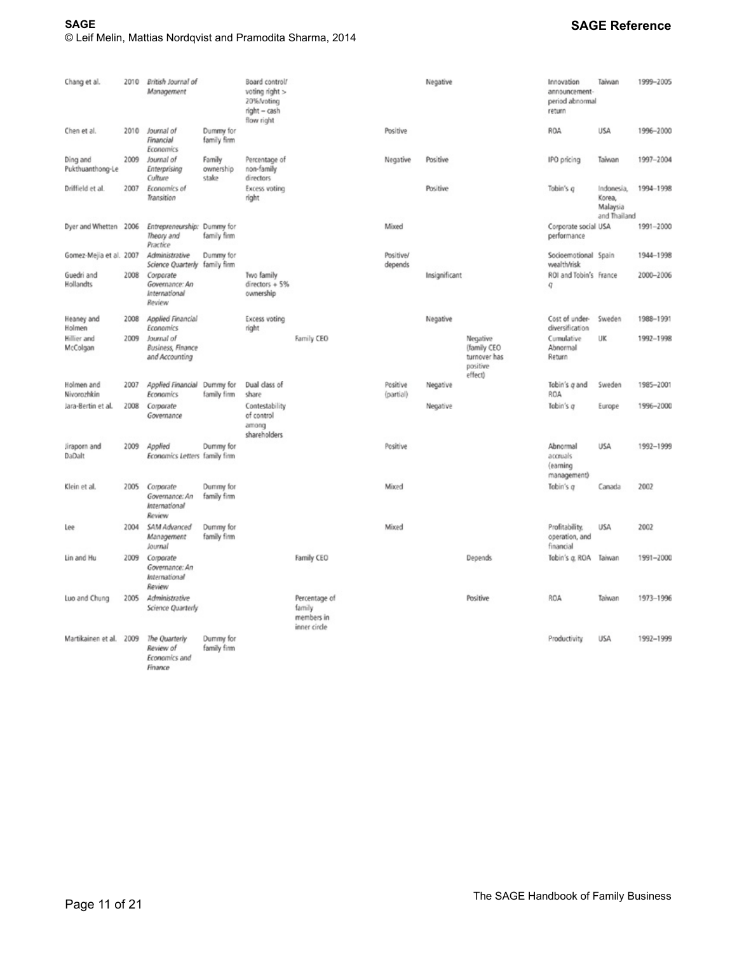#### **SAGE** © Leif Melin, Mattias Nordqvist and Pramodita Sharma, 2014

#### **SAGE Reference**

| Chang et al.                 | 2010 | British Journal of<br>Management                         |                              | Board controlf<br>voting $right >$<br>20%/voting<br>right - cash<br>flow right |                                                       |                       | Negative      |                                                                | Innovation<br>announcement-<br>period abnormal<br>return | Taiwan                                           | 1999-2005 |
|------------------------------|------|----------------------------------------------------------|------------------------------|--------------------------------------------------------------------------------|-------------------------------------------------------|-----------------------|---------------|----------------------------------------------------------------|----------------------------------------------------------|--------------------------------------------------|-----------|
| Chen et al.                  | 2010 | Journal of<br>Financial<br>Economics                     | Dummy for<br>family firm     |                                                                                |                                                       | Positive              |               |                                                                | ROA                                                      | USA                                              | 1996-2000 |
| Ding and<br>Pukthuanthong-Le | 2009 | Journal of<br>Enterprising<br>Culture                    | Family<br>ownership<br>stake | Percentage of<br>non-family<br>directors                                       |                                                       | Negative              | Positive      |                                                                | IPO pricing                                              | Taiwan                                           | 1997-2004 |
| Driffield et al.             | 2007 | Economics of<br>Transition                               |                              | <b>Excess voting</b><br>right                                                  |                                                       |                       | Positive      |                                                                | Tobin's q                                                | Indonesia,<br>Korea,<br>Malaysia<br>and Thailand | 1994-1998 |
| Dyer and Whetten 2006        |      | Entrepreneurship: Dummy for<br>Theory and<br>Practice    | family firm                  |                                                                                |                                                       | Mixed                 |               |                                                                | Corporate social USA<br>performance                      |                                                  | 1991-2000 |
| Gomez-Mejia et al. 2007      |      | Administrative<br>Science Quarterly                      | Dummy for<br>family firm     |                                                                                |                                                       | Positive/<br>depends  |               |                                                                | Socioemotional Spain<br>wealth/risk                      |                                                  | 1944-1998 |
| Guedri and<br>Hollandts      | 2008 | Corporate<br>Governance: An<br>International<br>Review   |                              | Two family<br>directors + 5%<br>ownership                                      |                                                       |                       | Insignificant |                                                                | ROI and Tobin's France<br>q                              |                                                  | 2000-2006 |
| Heaney and<br>Holmen         | 2008 | Applied Financial<br>Economics                           |                              | Excess voting<br>right                                                         |                                                       |                       | Negative      |                                                                | Cost of under-<br>diversification                        | Sweden                                           | 1988-1991 |
| Hillier and<br>McColgan      | 2009 | Journal of<br><b>Business, Finance</b><br>and Accounting |                              |                                                                                | Family CEO                                            |                       |               | Negative<br>(family CEO<br>turnover has<br>positive<br>effect) | Cumulative<br>Abnormal<br>Return                         | UK                                               | 1992-1998 |
| Holmen and<br>Nivorozhkin    | 2007 | Applied Financial<br>Economics                           | Dummy for<br>family firm     | Dual class of<br>share                                                         |                                                       | Positive<br>(partial) | Negative      |                                                                | Tobin's a and<br>ROA                                     | Sweden                                           | 1985-2001 |
| Jara-Bertin et al.           | 2008 | Corporate<br>Governance                                  |                              | Contestability<br>of control<br>among<br>shareholders                          |                                                       |                       | Negative      |                                                                | Tobin's q                                                | Europe                                           | 1996-2000 |
| Jiraporn and<br>DaDalt       | 2009 | Applied<br>Economics Letters family firm                 | Dummy for                    |                                                                                |                                                       | Positive              |               |                                                                | Abnormal<br>accruals<br>(earning<br>management)          | <b>USA</b>                                       | 1992-1999 |
| Klein et al.                 | 2005 | Corporate<br>Governance: An<br>International<br>Review   | Dummy for<br>family firm     |                                                                                |                                                       | Mixed                 |               |                                                                | Tobin's a                                                | Canada                                           | 2002      |
| Lee                          | 2004 | SAM Advanced<br>Management<br>Journal                    | Dummy for<br>family firm     |                                                                                |                                                       | Mixed                 |               |                                                                | Profitability,<br>operation, and<br>financial            | <b>USA</b>                                       | 2002      |
| Lin and Hu                   | 2009 | Corporate<br>Governance: An<br>International<br>Review   |                              |                                                                                | Family CEO                                            |                       |               | Depends                                                        | Tobin's q. ROA                                           | Taiwan                                           | 1991-2000 |
| Luo and Chung                | 2005 | Administrative<br>Science Quarterly                      |                              |                                                                                | Percentage of<br>family<br>members in<br>inner circle |                       |               | Positive                                                       | ROA                                                      | Taiwan                                           | 1973-1996 |
| Martikainen et al.           | 2009 | The Quarterly<br>Review of<br>Economics and<br>Finance   | Dummy for<br>family firm     |                                                                                |                                                       |                       |               |                                                                | Productivity                                             | <b>USA</b>                                       | 1992-1999 |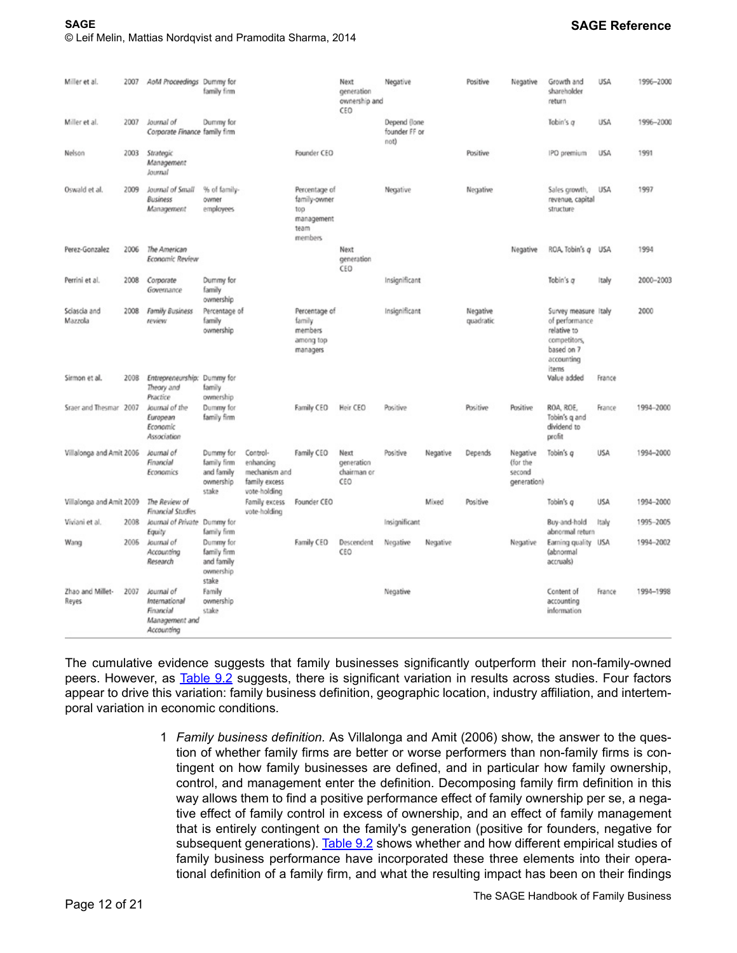#### **SAGE** © Leif Melin, Mattias Nordqvist and Pramodita Sharma, 2014

#### **SAGE Reference**

| Miller et al.             | 2007 | AoM Proceedings Dummy for                                                | family firm                                                  |                                                                         |                                                                       | Next<br>generation<br>ownership and<br>CEO | Negative                              |          | Positive              | Negative                                      | Growth and<br>shareholder<br>return                                                                        | <b>USA</b> | 1996-2000 |
|---------------------------|------|--------------------------------------------------------------------------|--------------------------------------------------------------|-------------------------------------------------------------------------|-----------------------------------------------------------------------|--------------------------------------------|---------------------------------------|----------|-----------------------|-----------------------------------------------|------------------------------------------------------------------------------------------------------------|------------|-----------|
| Miller et al.             | 2007 | Journal of<br>Corporate Finance family firm                              | Dummy for                                                    |                                                                         |                                                                       |                                            | Depend (lone<br>founder FF or<br>not) |          |                       |                                               | Tobin's a                                                                                                  | <b>USA</b> | 1996-2000 |
| Nelson                    | 2003 | Strategic<br>Management<br>Journal                                       |                                                              |                                                                         | Founder CEO                                                           |                                            |                                       |          | Positive              |                                               | IPO premium                                                                                                | USA        | 1991      |
| Oswald et al.             | 2009 | Journal of Small<br><b>Business</b><br>Management                        | % of family-<br>owner<br>employees                           |                                                                         | Percentage of<br>family-owner<br>top<br>management<br>team<br>members |                                            | Negative                              |          | Negative              |                                               | Sales growth,<br>revenue, capital<br>structure                                                             | USA        | 1997      |
| Perez-Gonzalez            | 2006 | The American<br><b>Economic Review</b>                                   |                                                              |                                                                         |                                                                       | Next<br>generation<br>CEO                  |                                       |          |                       | Negative                                      | ROA, Tobin's q                                                                                             | USA        | 1994      |
| Perrini et al.            | 2008 | Corporate<br>Governance                                                  | Dummy for<br>family<br>ownership                             |                                                                         |                                                                       |                                            | Insignificant                         |          |                       |                                               | Tobin's a                                                                                                  | ltaly      | 2000-2003 |
| Sciascia and<br>Mazzola   | 2008 | <b>Family Business</b><br>review                                         | Percentage of<br>family<br>ownership                         |                                                                         | Percentage of<br>family<br>members<br>among top<br>managers           |                                            | Insignificant                         |          | Negative<br>quadratic |                                               | Survey measure Italy<br>of performance<br>relative to<br>competitors,<br>based on 7<br>accounting<br>items |            | 2000      |
| Sirmon et al.             | 2008 | Entrepreneurship: Dummy for<br>Theory and<br>Practice                    | family<br>ownership                                          |                                                                         |                                                                       |                                            |                                       |          |                       |                                               | Value added                                                                                                | France     |           |
| Sraer and Thesmar 2007    |      | Journal of the<br>European<br>Economic<br>Association                    | Dummy for<br>family firm                                     |                                                                         | Family CEO                                                            | Heir CEO                                   | Positive                              |          | Positive              | Positive                                      | ROA, ROE,<br>Tobin's q and<br>dividend to<br>profit                                                        | France     | 1994-2000 |
| Villalonga and Amit 2006  |      | Journal of<br>Financial<br>Economics                                     | Dummy for<br>family firm<br>and family<br>ownership<br>stake | Control-<br>enhancing<br>mechanism and<br>family excess<br>vote-holding | Family CEO                                                            | Next<br>generation<br>chairman or<br>CEO   | Positive                              | Negative | Depends               | Negative<br>(for the<br>second<br>generation) | Tobin's q                                                                                                  | <b>USA</b> | 1994-2000 |
| Villalonga and Amit 2009  |      | The Review of<br><b>Financial Studies</b>                                |                                                              | Family excess<br>vote-holding                                           | Founder CEO                                                           |                                            |                                       | Mixed    | Positive              |                                               | Tobin's a                                                                                                  | <b>USA</b> | 1994-2000 |
| Viviani et al.            | 2008 | Journal of Private Dummy for<br>Equity                                   | family firm                                                  |                                                                         |                                                                       |                                            | Insignificant                         |          |                       |                                               | Buy-and-hold<br>abnormal return                                                                            | Italy      | 1995-2005 |
| Wang                      | 2006 | Journal of<br>Accounting<br>Research                                     | Dummy for<br>family firm<br>and family<br>ownership<br>stake |                                                                         | Family CEO                                                            | Descendent<br>CEO                          | Negative                              | Negative |                       | Negative                                      | Earning quality USA<br>(abnormal<br>accruals)                                                              |            | 1994-2002 |
| Zhao and Millet-<br>Reyes | 2007 | Journal of<br>International<br>Financial<br>Management and<br>Accounting | Family<br>ownership<br>stake                                 |                                                                         |                                                                       |                                            | Negative                              |          |                       |                                               | Content of<br>accounting<br>information                                                                    | France     | 1994-1998 |

The cumulative evidence suggests that family businesses significantly outperform their non-family-owned peers. However, as [Table 9.2](#page-8-0) suggests, there is significant variation in results across studies. Four factors appear to drive this variation: family business definition, geographic location, industry affiliation, and intertemporal variation in economic conditions.

> 1 *Family business definition.* As Villalonga and Amit (2006) show, the answer to the question of whether family firms are better or worse performers than non-family firms is contingent on how family businesses are defined, and in particular how family ownership, control, and management enter the definition. Decomposing family firm definition in this way allows them to find a positive performance effect of family ownership per se, a negative effect of family control in excess of ownership, and an effect of family management that is entirely contingent on the family's generation (positive for founders, negative for subsequent generations). [Table 9.2](#page-8-0) shows whether and how different empirical studies of family business performance have incorporated these three elements into their operational definition of a family firm, and what the resulting impact has been on their findings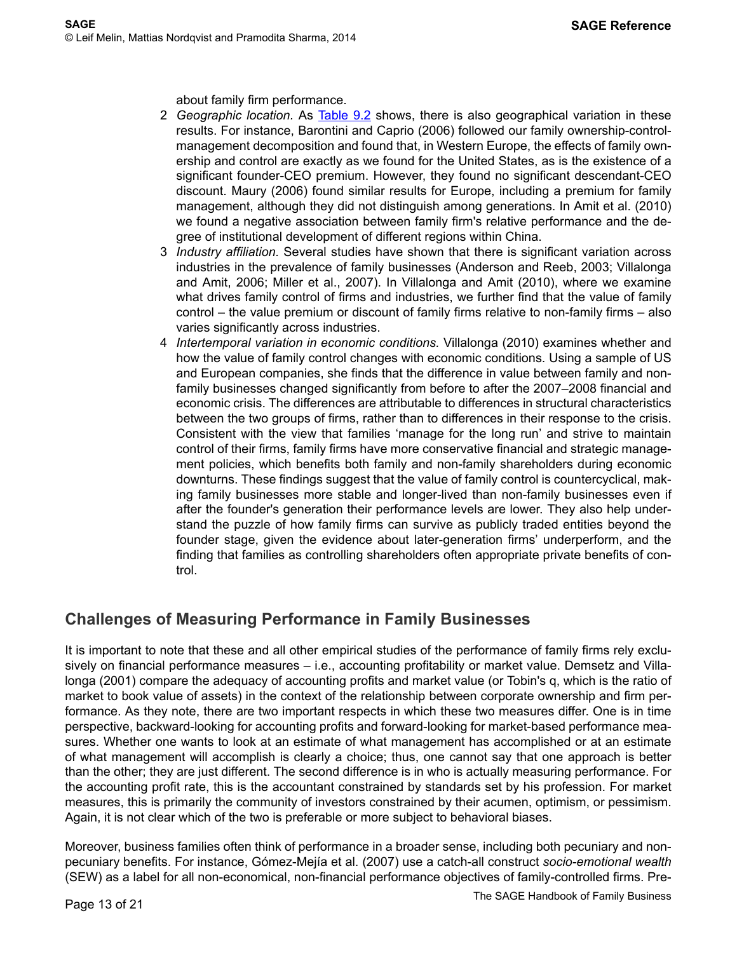about family firm performance.

- 2 *Geographic location.* As [Table 9.2](#page-8-0) shows, there is also geographical variation in these results. For instance, Barontini and Caprio (2006) followed our family ownership-controlmanagement decomposition and found that, in Western Europe, the effects of family ownership and control are exactly as we found for the United States, as is the existence of a significant founder-CEO premium. However, they found no significant descendant-CEO discount. Maury (2006) found similar results for Europe, including a premium for family management, although they did not distinguish among generations. In Amit et al. (2010) we found a negative association between family firm's relative performance and the degree of institutional development of different regions within China.
- 3 *Industry affiliation.* Several studies have shown that there is significant variation across industries in the prevalence of family businesses (Anderson and Reeb, 2003; Villalonga and Amit, 2006; Miller et al., 2007). In Villalonga and Amit (2010), where we examine what drives family control of firms and industries, we further find that the value of family control – the value premium or discount of family firms relative to non-family firms – also varies significantly across industries.
- 4 *Intertemporal variation in economic conditions.* Villalonga (2010) examines whether and how the value of family control changes with economic conditions. Using a sample of US and European companies, she finds that the difference in value between family and nonfamily businesses changed significantly from before to after the 2007–2008 financial and economic crisis. The differences are attributable to differences in structural characteristics between the two groups of firms, rather than to differences in their response to the crisis. Consistent with the view that families 'manage for the long run' and strive to maintain control of their firms, family firms have more conservative financial and strategic management policies, which benefits both family and non-family shareholders during economic downturns. These findings suggest that the value of family control is countercyclical, making family businesses more stable and longer-lived than non-family businesses even if after the founder's generation their performance levels are lower. They also help understand the puzzle of how family firms can survive as publicly traded entities beyond the founder stage, given the evidence about later-generation firms' underperform, and the finding that families as controlling shareholders often appropriate private benefits of control.

# **Challenges of Measuring Performance in Family Businesses**

It is important to note that these and all other empirical studies of the performance of family firms rely exclusively on financial performance measures – i.e., accounting profitability or market value. Demsetz and Villalonga (2001) compare the adequacy of accounting profits and market value (or Tobin's q, which is the ratio of market to book value of assets) in the context of the relationship between corporate ownership and firm performance. As they note, there are two important respects in which these two measures differ. One is in time perspective, backward-looking for accounting profits and forward-looking for market-based performance measures. Whether one wants to look at an estimate of what management has accomplished or at an estimate of what management will accomplish is clearly a choice; thus, one cannot say that one approach is better than the other; they are just different. The second difference is in who is actually measuring performance. For the accounting profit rate, this is the accountant constrained by standards set by his profession. For market measures, this is primarily the community of investors constrained by their acumen, optimism, or pessimism. Again, it is not clear which of the two is preferable or more subject to behavioral biases.

Moreover, business families often think of performance in a broader sense, including both pecuniary and nonpecuniary benefits. For instance, Gómez-Mejía et al. (2007) use a catch-all construct *socio-emotional wealth*  (SEW) as a label for all non-economical, non-financial performance objectives of family-controlled firms. Pre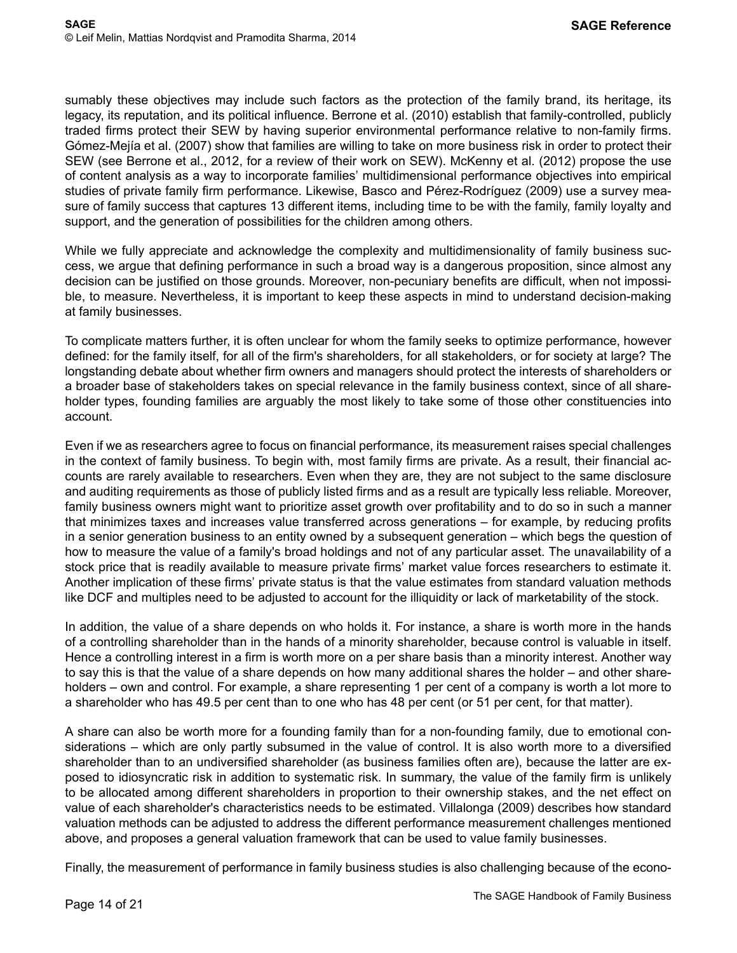sumably these objectives may include such factors as the protection of the family brand, its heritage, its legacy, its reputation, and its political influence. Berrone et al. (2010) establish that family-controlled, publicly traded firms protect their SEW by having superior environmental performance relative to non-family firms. Gómez-Mejía et al. (2007) show that families are willing to take on more business risk in order to protect their SEW (see Berrone et al., 2012, for a review of their work on SEW). McKenny et al. (2012) propose the use of content analysis as a way to incorporate families' multidimensional performance objectives into empirical studies of private family firm performance. Likewise, Basco and Pérez-Rodríguez (2009) use a survey measure of family success that captures 13 different items, including time to be with the family, family loyalty and support, and the generation of possibilities for the children among others.

While we fully appreciate and acknowledge the complexity and multidimensionality of family business success, we argue that defining performance in such a broad way is a dangerous proposition, since almost any decision can be justified on those grounds. Moreover, non-pecuniary benefits are difficult, when not impossible, to measure. Nevertheless, it is important to keep these aspects in mind to understand decision-making at family businesses.

To complicate matters further, it is often unclear for whom the family seeks to optimize performance, however defined: for the family itself, for all of the firm's shareholders, for all stakeholders, or for society at large? The longstanding debate about whether firm owners and managers should protect the interests of shareholders or a broader base of stakeholders takes on special relevance in the family business context, since of all shareholder types, founding families are arguably the most likely to take some of those other constituencies into account.

Even if we as researchers agree to focus on financial performance, its measurement raises special challenges in the context of family business. To begin with, most family firms are private. As a result, their financial accounts are rarely available to researchers. Even when they are, they are not subject to the same disclosure and auditing requirements as those of publicly listed firms and as a result are typically less reliable. Moreover, family business owners might want to prioritize asset growth over profitability and to do so in such a manner that minimizes taxes and increases value transferred across generations – for example, by reducing profits in a senior generation business to an entity owned by a subsequent generation – which begs the question of how to measure the value of a family's broad holdings and not of any particular asset. The unavailability of a stock price that is readily available to measure private firms' market value forces researchers to estimate it. Another implication of these firms' private status is that the value estimates from standard valuation methods like DCF and multiples need to be adjusted to account for the illiquidity or lack of marketability of the stock.

In addition, the value of a share depends on who holds it. For instance, a share is worth more in the hands of a controlling shareholder than in the hands of a minority shareholder, because control is valuable in itself. Hence a controlling interest in a firm is worth more on a per share basis than a minority interest. Another way to say this is that the value of a share depends on how many additional shares the holder – and other shareholders – own and control. For example, a share representing 1 per cent of a company is worth a lot more to a shareholder who has 49.5 per cent than to one who has 48 per cent (or 51 per cent, for that matter).

A share can also be worth more for a founding family than for a non-founding family, due to emotional considerations – which are only partly subsumed in the value of control. It is also worth more to a diversified shareholder than to an undiversified shareholder (as business families often are), because the latter are exposed to idiosyncratic risk in addition to systematic risk. In summary, the value of the family firm is unlikely to be allocated among different shareholders in proportion to their ownership stakes, and the net effect on value of each shareholder's characteristics needs to be estimated. Villalonga (2009) describes how standard valuation methods can be adjusted to address the different performance measurement challenges mentioned above, and proposes a general valuation framework that can be used to value family businesses.

Finally, the measurement of performance in family business studies is also challenging because of the econo-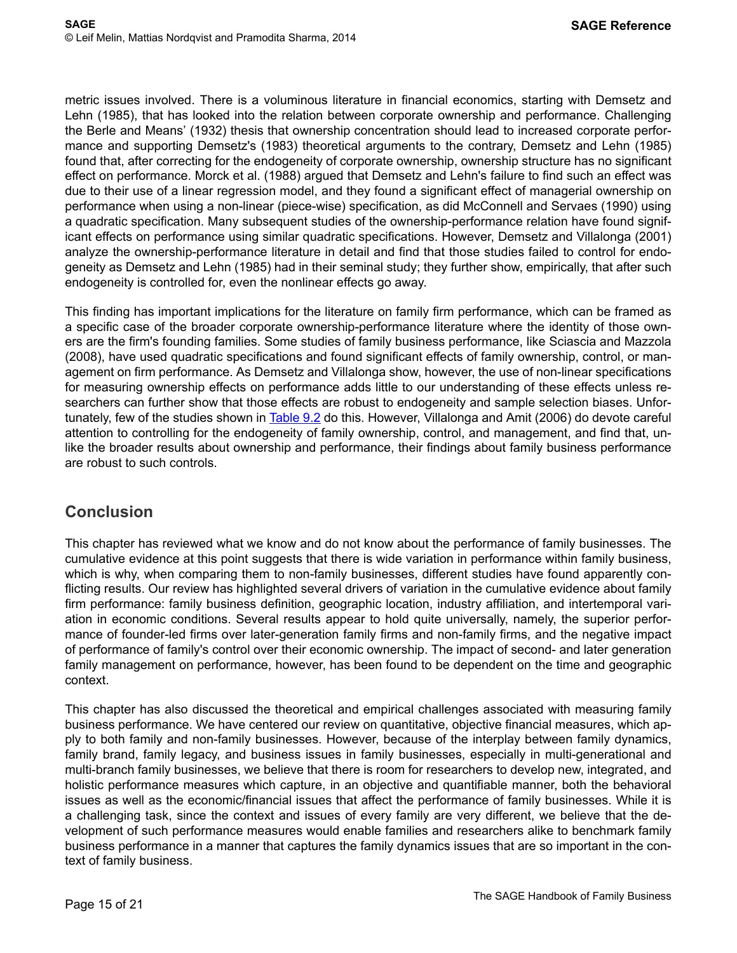metric issues involved. There is a voluminous literature in financial economics, starting with Demsetz and Lehn (1985), that has looked into the relation between corporate ownership and performance. Challenging the Berle and Means' (1932) thesis that ownership concentration should lead to increased corporate performance and supporting Demsetz's (1983) theoretical arguments to the contrary, Demsetz and Lehn (1985) found that, after correcting for the endogeneity of corporate ownership, ownership structure has no significant effect on performance. Morck et al. (1988) argued that Demsetz and Lehn's failure to find such an effect was due to their use of a linear regression model, and they found a significant effect of managerial ownership on performance when using a non-linear (piece-wise) specification, as did McConnell and Servaes (1990) using a quadratic specification. Many subsequent studies of the ownership-performance relation have found significant effects on performance using similar quadratic specifications. However, Demsetz and Villalonga (2001) analyze the ownership-performance literature in detail and find that those studies failed to control for endogeneity as Demsetz and Lehn (1985) had in their seminal study; they further show, empirically, that after such endogeneity is controlled for, even the nonlinear effects go away.

This finding has important implications for the literature on family firm performance, which can be framed as a specific case of the broader corporate ownership-performance literature where the identity of those owners are the firm's founding families. Some studies of family business performance, like Sciascia and Mazzola (2008), have used quadratic specifications and found significant effects of family ownership, control, or management on firm performance. As Demsetz and Villalonga show, however, the use of non-linear specifications for measuring ownership effects on performance adds little to our understanding of these effects unless researchers can further show that those effects are robust to endogeneity and sample selection biases. Unfor-tunately, few of the studies shown in [Table 9.2](#page-8-0) do this. However, Villalonga and Amit (2006) do devote careful attention to controlling for the endogeneity of family ownership, control, and management, and find that, unlike the broader results about ownership and performance, their findings about family business performance are robust to such controls.

#### **Conclusion**

This chapter has reviewed what we know and do not know about the performance of family businesses. The cumulative evidence at this point suggests that there is wide variation in performance within family business, which is why, when comparing them to non-family businesses, different studies have found apparently conflicting results. Our review has highlighted several drivers of variation in the cumulative evidence about family firm performance: family business definition, geographic location, industry affiliation, and intertemporal variation in economic conditions. Several results appear to hold quite universally, namely, the superior performance of founder-led firms over later-generation family firms and non-family firms, and the negative impact of performance of family's control over their economic ownership. The impact of second- and later generation family management on performance, however, has been found to be dependent on the time and geographic context.

This chapter has also discussed the theoretical and empirical challenges associated with measuring family business performance. We have centered our review on quantitative, objective financial measures, which apply to both family and non-family businesses. However, because of the interplay between family dynamics, family brand, family legacy, and business issues in family businesses, especially in multi-generational and multi-branch family businesses, we believe that there is room for researchers to develop new, integrated, and holistic performance measures which capture, in an objective and quantifiable manner, both the behavioral issues as well as the economic/financial issues that affect the performance of family businesses. While it is a challenging task, since the context and issues of every family are very different, we believe that the development of such performance measures would enable families and researchers alike to benchmark family business performance in a manner that captures the family dynamics issues that are so important in the context of family business.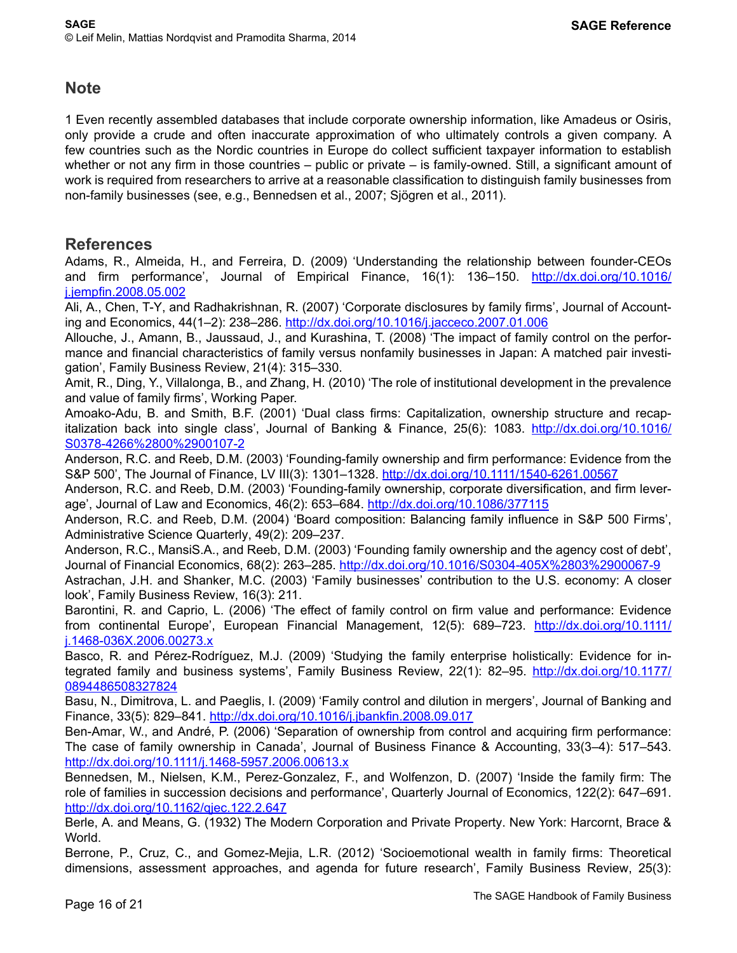#### **Note**

<span id="page-15-0"></span>1 Even recently assembled databases that include corporate ownership information, like Amadeus or Osiris, only provide a crude and often inaccurate approximation of who ultimately controls a given company. A few countries such as the Nordic countries in Europe do collect sufficient taxpayer information to establish whether or not any firm in those countries – public or private – is family-owned. Still, a significant amount of work is required from researchers to arrive at a reasonable classification to distinguish family businesses from non-family businesses (see, e.g., Bennedsen et al., 2007; Sjögren et al., 2011).

#### **References**

Adams, R., Almeida, H., and Ferreira, D. (2009) 'Understanding the relationship between founder-CEOs and firm performance', Journal of Empirical Finance, 16(1): 136-150. [http://dx.doi.org/10.1016/](http://dx.doi.org/10.1016/j.jempfin.2008.05.002) [j.jempfin.2008.05.002](http://dx.doi.org/10.1016/j.jempfin.2008.05.002)

Ali, A., Chen, T-Y, and Radhakrishnan, R. (2007) 'Corporate disclosures by family firms', Journal of Accounting and Economics, 44(1–2): 238–286.<http://dx.doi.org/10.1016/j.jacceco.2007.01.006>

Allouche, J., Amann, B., Jaussaud, J., and Kurashina, T. (2008) 'The impact of family control on the performance and financial characteristics of family versus nonfamily businesses in Japan: A matched pair investigation', Family Business Review, 21(4): 315–330.

Amit, R., Ding, Y., Villalonga, B., and Zhang, H. (2010) 'The role of institutional development in the prevalence and value of family firms', Working Paper.

Amoako-Adu, B. and Smith, B.F. (2001) 'Dual class firms: Capitalization, ownership structure and recapitalization back into single class', Journal of Banking & Finance, 25(6): 1083. [http://dx.doi.org/10.1016/](http://dx.doi.org/10.1016/S0378-4266%2800%2900107-2) [S0378-4266%2800%2900107-2](http://dx.doi.org/10.1016/S0378-4266%2800%2900107-2)

Anderson, R.C. and Reeb, D.M. (2003) 'Founding-family ownership and firm performance: Evidence from the S&P 500', The Journal of Finance, LV III(3): 1301–1328. <http://dx.doi.org/10.1111/1540-6261.00567>

Anderson, R.C. and Reeb, D.M. (2003) 'Founding-family ownership, corporate diversification, and firm leverage', Journal of Law and Economics, 46(2): 653–684. <http://dx.doi.org/10.1086/377115>

Anderson, R.C. and Reeb, D.M. (2004) 'Board composition: Balancing family influence in S&P 500 Firms', Administrative Science Quarterly, 49(2): 209–237.

Anderson, R.C., MansiS.A., and Reeb, D.M. (2003) 'Founding family ownership and the agency cost of debt', Journal of Financial Economics, 68(2): 263–285.<http://dx.doi.org/10.1016/S0304-405X%2803%2900067-9>

Astrachan, J.H. and Shanker, M.C. (2003) 'Family businesses' contribution to the U.S. economy: A closer look', Family Business Review, 16(3): 211.

Barontini, R. and Caprio, L. (2006) 'The effect of family control on firm value and performance: Evidence from continental Europe', European Financial Management, 12(5): 689–723. [http://dx.doi.org/10.1111/](http://dx.doi.org/10.1111/j.1468-036X.2006.00273.x) [j.1468-036X.2006.00273.x](http://dx.doi.org/10.1111/j.1468-036X.2006.00273.x)

Basco, R. and Pérez-Rodríguez, M.J. (2009) 'Studying the family enterprise holistically: Evidence for integrated family and business systems', Family Business Review, 22(1): 82–95. [http://dx.doi.org/10.1177/](http://dx.doi.org/10.1177/0894486508327824) [0894486508327824](http://dx.doi.org/10.1177/0894486508327824)

Basu, N., Dimitrova, L. and Paeglis, I. (2009) 'Family control and dilution in mergers', Journal of Banking and Finance, 33(5): 829–841.<http://dx.doi.org/10.1016/j.jbankfin.2008.09.017>

Ben-Amar, W., and André, P. (2006) 'Separation of ownership from control and acquiring firm performance: The case of family ownership in Canada', Journal of Business Finance & Accounting, 33(3–4): 517–543. <http://dx.doi.org/10.1111/j.1468-5957.2006.00613.x>

Bennedsen, M., Nielsen, K.M., Perez-Gonzalez, F., and Wolfenzon, D. (2007) 'Inside the family firm: The role of families in succession decisions and performance', Quarterly Journal of Economics, 122(2): 647–691. <http://dx.doi.org/10.1162/qjec.122.2.647>

Berle, A. and Means, G. (1932) The Modern Corporation and Private Property. New York: Harcornt, Brace & World.

Berrone, P., Cruz, C., and Gomez-Mejia, L.R. (2012) 'Socioemotional wealth in family firms: Theoretical dimensions, assessment approaches, and agenda for future research', Family Business Review, 25(3):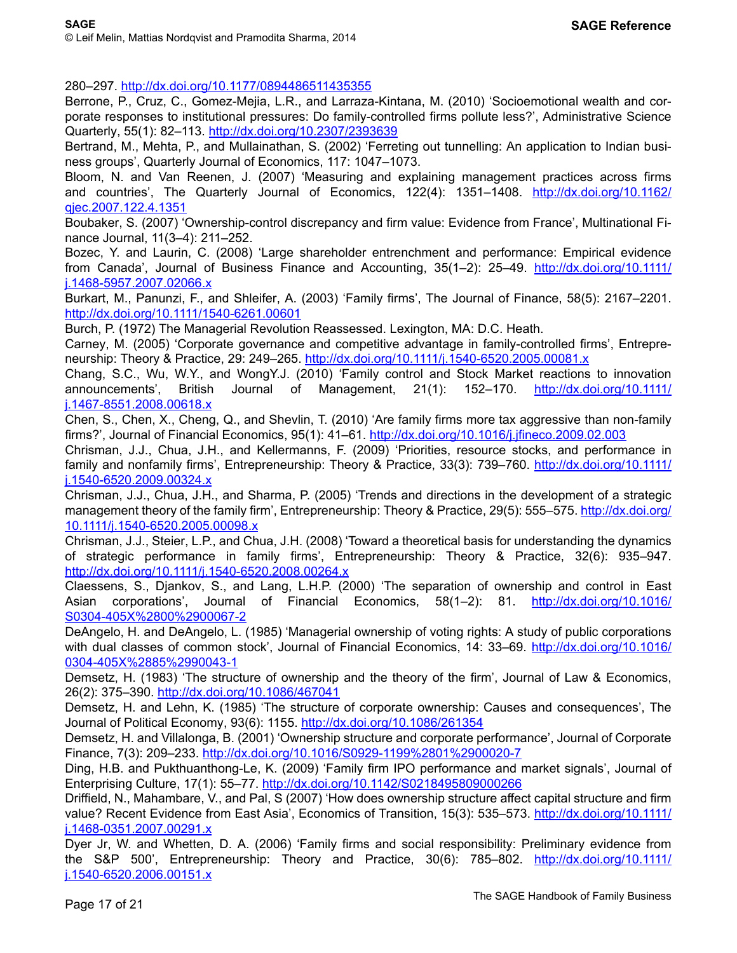280–297. <http://dx.doi.org/10.1177/0894486511435355>

Berrone, P., Cruz, C., Gomez-Mejia, L.R., and Larraza-Kintana, M. (2010) 'Socioemotional wealth and corporate responses to institutional pressures: Do family-controlled firms pollute less?', Administrative Science Quarterly, 55(1): 82–113.<http://dx.doi.org/10.2307/2393639>

Bertrand, M., Mehta, P., and Mullainathan, S. (2002) 'Ferreting out tunnelling: An application to Indian business groups', Quarterly Journal of Economics, 117: 1047–1073.

Bloom, N. and Van Reenen, J. (2007) 'Measuring and explaining management practices across firms and countries', The Quarterly Journal of Economics, 122(4): 1351-1408. [http://dx.doi.org/10.1162/](http://dx.doi.org/10.1162/qjec.2007.122.4.1351) [qjec.2007.122.4.1351](http://dx.doi.org/10.1162/qjec.2007.122.4.1351) 

Boubaker, S. (2007) 'Ownership-control discrepancy and firm value: Evidence from France', Multinational Finance Journal, 11(3–4): 211–252.

Bozec, Y. and Laurin, C. (2008) 'Large shareholder entrenchment and performance: Empirical evidence from Canada', Journal of Business Finance and Accounting, 35(1–2): 25–49. [http://dx.doi.org/10.1111/](http://dx.doi.org/10.1111/j.1468-5957.2007.02066.x) [j.1468-5957.2007.02066.x](http://dx.doi.org/10.1111/j.1468-5957.2007.02066.x) 

Burkart, M., Panunzi, F., and Shleifer, A. (2003) 'Family firms', The Journal of Finance, 58(5): 2167–2201. <http://dx.doi.org/10.1111/1540-6261.00601>

Burch, P. (1972) The Managerial Revolution Reassessed. Lexington, MA: D.C. Heath.

Carney, M. (2005) 'Corporate governance and competitive advantage in family-controlled firms', Entrepreneurship: Theory & Practice, 29: 249–265. <http://dx.doi.org/10.1111/j.1540-6520.2005.00081.x>

Chang, S.C., Wu, W.Y., and WongY.J. (2010) 'Family control and Stock Market reactions to innovation announcements', British Journal of Management, 21(1): 152–170. [http://dx.doi.org/10.1111/](http://dx.doi.org/10.1111/j.1467-8551.2008.00618.x) [j.1467-8551.2008.00618.x](http://dx.doi.org/10.1111/j.1467-8551.2008.00618.x) 

Chen, S., Chen, X., Cheng, Q., and Shevlin, T. (2010) 'Are family firms more tax aggressive than non-family firms?', Journal of Financial Economics, 95(1): 41–61.<http://dx.doi.org/10.1016/j.jfineco.2009.02.003>

Chrisman, J.J., Chua, J.H., and Kellermanns, F. (2009) 'Priorities, resource stocks, and performance in family and nonfamily firms', Entrepreneurship: Theory & Practice, 33(3): 739–760. [http://dx.doi.org/10.1111/](http://dx.doi.org/10.1111/j.1540-6520.2009.00324.x) [j.1540-6520.2009.00324.x](http://dx.doi.org/10.1111/j.1540-6520.2009.00324.x) 

Chrisman, J.J., Chua, J.H., and Sharma, P. (2005) 'Trends and directions in the development of a strategic management theory of the family firm', Entrepreneurship: Theory & Practice, 29(5): 555–575. [http://dx.doi.org/](http://dx.doi.org/10.1111/j.1540-6520.2005.00098.x) [10.1111/j.1540-6520.2005.00098.x](http://dx.doi.org/10.1111/j.1540-6520.2005.00098.x) 

Chrisman, J.J., Steier, L.P., and Chua, J.H. (2008) 'Toward a theoretical basis for understanding the dynamics of strategic performance in family firms', Entrepreneurship: Theory & Practice, 32(6): 935–947. <http://dx.doi.org/10.1111/j.1540-6520.2008.00264.x>

Claessens, S., Djankov, S., and Lang, L.H.P. (2000) 'The separation of ownership and control in East Asian corporations', Journal of Financial Economics, 58(1-2): 81. [http://dx.doi.org/10.1016/](http://dx.doi.org/10.1016/S0304-405X%2800%2900067-2) [S0304-405X%2800%2900067-2](http://dx.doi.org/10.1016/S0304-405X%2800%2900067-2) 

DeAngelo, H. and DeAngelo, L. (1985) 'Managerial ownership of voting rights: A study of public corporations with dual classes of common stock', Journal of Financial Economics, 14: 33-69. [http://dx.doi.org/10.1016/](http://dx.doi.org/10.1016/0304-405X%2885%2990043-1) [0304-405X%2885%2990043-1](http://dx.doi.org/10.1016/0304-405X%2885%2990043-1) 

Demsetz, H. (1983) 'The structure of ownership and the theory of the firm', Journal of Law & Economics, 26(2): 375–390.<http://dx.doi.org/10.1086/467041>

Demsetz, H. and Lehn, K. (1985) 'The structure of corporate ownership: Causes and consequences', The Journal of Political Economy, 93(6): 1155.<http://dx.doi.org/10.1086/261354>

Demsetz, H. and Villalonga, B. (2001) 'Ownership structure and corporate performance', Journal of Corporate Finance, 7(3): 209–233.<http://dx.doi.org/10.1016/S0929-1199%2801%2900020-7>

Ding, H.B. and Pukthuanthong-Le, K. (2009) 'Family firm IPO performance and market signals', Journal of Enterprising Culture, 17(1): 55–77. <http://dx.doi.org/10.1142/S0218495809000266>

Driffield, N., Mahambare, V., and Pal, S (2007) 'How does ownership structure affect capital structure and firm value? Recent Evidence from East Asia', Economics of Transition, 15(3): 535–573. [http://dx.doi.org/10.1111/](http://dx.doi.org/10.1111/j.1468-0351.2007.00291.x) [j.1468-0351.2007.00291.x](http://dx.doi.org/10.1111/j.1468-0351.2007.00291.x) 

Dyer Jr, W. and Whetten, D. A. (2006) 'Family firms and social responsibility: Preliminary evidence from the S&P 500', Entrepreneurship: Theory and Practice, 30(6): 785–802. [http://dx.doi.org/10.1111/](http://dx.doi.org/10.1111/j.1540-6520.2006.00151.x) [j.1540-6520.2006.00151.x](http://dx.doi.org/10.1111/j.1540-6520.2006.00151.x)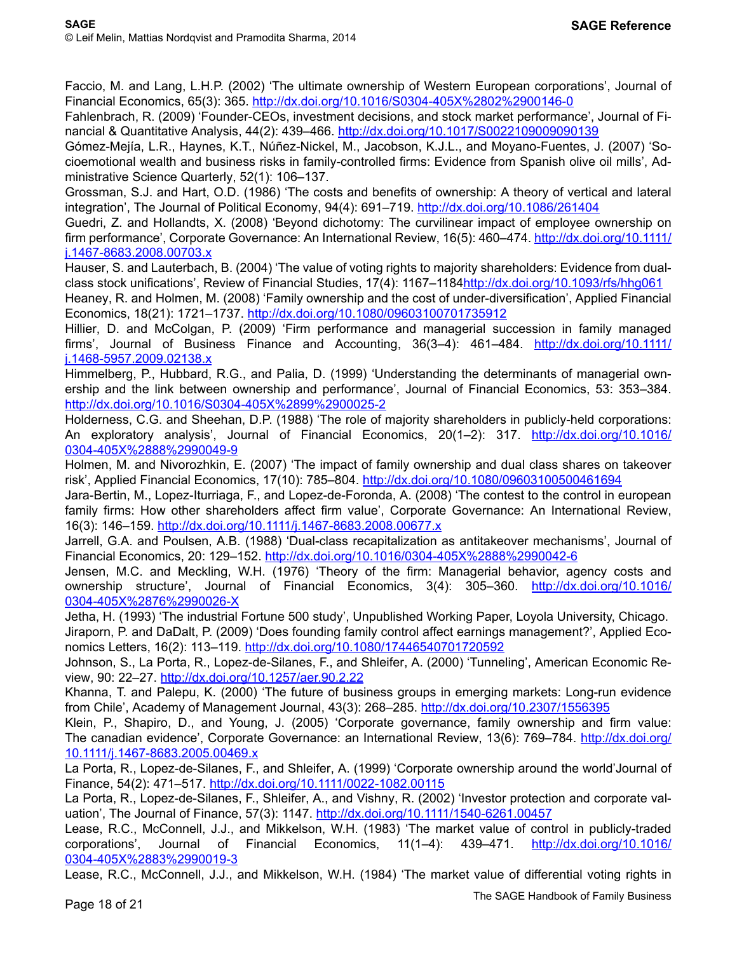Faccio, M. and Lang, L.H.P. (2002) 'The ultimate ownership of Western European corporations', Journal of Financial Economics, 65(3): 365. <http://dx.doi.org/10.1016/S0304-405X%2802%2900146-0>

Fahlenbrach, R. (2009) 'Founder-CEOs, investment decisions, and stock market performance', Journal of Financial & Quantitative Analysis, 44(2): 439–466.<http://dx.doi.org/10.1017/S0022109009090139>

Gómez-Mejía, L.R., Haynes, K.T., Núñez-Nickel, M., Jacobson, K.J.L., and Moyano-Fuentes, J. (2007) 'Socioemotional wealth and business risks in family-controlled firms: Evidence from Spanish olive oil mills', Administrative Science Quarterly, 52(1): 106–137.

Grossman, S.J. and Hart, O.D. (1986) 'The costs and benefits of ownership: A theory of vertical and lateral integration', The Journal of Political Economy, 94(4): 691–719. <http://dx.doi.org/10.1086/261404>

Guedri, Z. and Hollandts, X. (2008) 'Beyond dichotomy: The curvilinear impact of employee ownership on firm performance', Corporate Governance: An International Review, 16(5): 460–474. [http://dx.doi.org/10.1111/](http://dx.doi.org/10.1111/j.1467-8683.2008.00703.x) [j.1467-8683.2008.00703.x](http://dx.doi.org/10.1111/j.1467-8683.2008.00703.x) 

Hauser, S. and Lauterbach, B. (2004) 'The value of voting rights to majority shareholders: Evidence from dualclass stock unifications', Review of Financial Studies, 17(4): 1167–118[4http://dx.doi.org/10.1093/rfs/hhg061](http://dx.doi.org/10.1093/rfs/hhg061)  Heaney, R. and Holmen, M. (2008) 'Family ownership and the cost of under-diversification', Applied Financial Economics, 18(21): 1721–1737. <http://dx.doi.org/10.1080/09603100701735912>

Hillier, D. and McColgan, P. (2009) 'Firm performance and managerial succession in family managed firms', Journal of Business Finance and Accounting, 36(3-4): 461-484. [http://dx.doi.org/10.1111/](http://dx.doi.org/10.1111/j.1468-5957.2009.02138.x) [j.1468-5957.2009.02138.x](http://dx.doi.org/10.1111/j.1468-5957.2009.02138.x) 

Himmelberg, P., Hubbard, R.G., and Palia, D. (1999) 'Understanding the determinants of managerial ownership and the link between ownership and performance', Journal of Financial Economics, 53: 353–384. <http://dx.doi.org/10.1016/S0304-405X%2899%2900025-2>

Holderness, C.G. and Sheehan, D.P. (1988) 'The role of majority shareholders in publicly-held corporations: An exploratory analysis', Journal of Financial Economics, 20(1–2): 317. [http://dx.doi.org/10.1016/](http://dx.doi.org/10.1016/0304-405X%2888%2990049-9) [0304-405X%2888%2990049-9](http://dx.doi.org/10.1016/0304-405X%2888%2990049-9) 

Holmen, M. and Nivorozhkin, E. (2007) 'The impact of family ownership and dual class shares on takeover risk', Applied Financial Economics, 17(10): 785–804.<http://dx.doi.org/10.1080/09603100500461694>

Jara-Bertin, M., Lopez-Iturriaga, F., and Lopez-de-Foronda, A. (2008) 'The contest to the control in european family firms: How other shareholders affect firm value', Corporate Governance: An International Review, 16(3): 146–159.<http://dx.doi.org/10.1111/j.1467-8683.2008.00677.x>

Jarrell, G.A. and Poulsen, A.B. (1988) 'Dual-class recapitalization as antitakeover mechanisms', Journal of Financial Economics, 20: 129–152.<http://dx.doi.org/10.1016/0304-405X%2888%2990042-6>

Jensen, M.C. and Meckling, W.H. (1976) 'Theory of the firm: Managerial behavior, agency costs and ownership structure', Journal of Financial Economics, 3(4): 305–360. [http://dx.doi.org/10.1016/](http://dx.doi.org/10.1016/0304-405X%2876%2990026-X) [0304-405X%2876%2990026-X](http://dx.doi.org/10.1016/0304-405X%2876%2990026-X) 

Jetha, H. (1993) 'The industrial Fortune 500 study', Unpublished Working Paper, Loyola University, Chicago. Jiraporn, P. and DaDalt, P. (2009) 'Does founding family control affect earnings management?', Applied Economics Letters, 16(2): 113–119. <http://dx.doi.org/10.1080/17446540701720592>

Johnson, S., La Porta, R., Lopez-de-Silanes, F., and Shleifer, A. (2000) 'Tunneling', American Economic Review, 90: 22–27.<http://dx.doi.org/10.1257/aer.90.2.22>

Khanna, T. and Palepu, K. (2000) 'The future of business groups in emerging markets: Long-run evidence from Chile', Academy of Management Journal, 43(3): 268–285. <http://dx.doi.org/10.2307/1556395>

Klein, P., Shapiro, D., and Young, J. (2005) 'Corporate governance, family ownership and firm value: The canadian evidence', Corporate Governance: an International Review, 13(6): 769–784. [http://dx.doi.org/](http://dx.doi.org/10.1111/j.1467-8683.2005.00469.x) [10.1111/j.1467-8683.2005.00469.x](http://dx.doi.org/10.1111/j.1467-8683.2005.00469.x) 

La Porta, R., Lopez-de-Silanes, F., and Shleifer, A. (1999) 'Corporate ownership around the world'Journal of Finance, 54(2): 471–517.<http://dx.doi.org/10.1111/0022-1082.00115>

La Porta, R., Lopez-de-Silanes, F., Shleifer, A., and Vishny, R. (2002) 'Investor protection and corporate valuation', The Journal of Finance, 57(3): 1147. http://dx.doi.org/10.1111/1540-6261.00457

Lease, R.C., McConnell, J.J., and Mikkelson, W.H. (1983) 'The market value of control in publicly-traded corporations', Journal of Financial Economics, 11(1-4): 439-471. [http://dx.doi.org/10.1016/](http://dx.doi.org/10.1016/0304-405X%2883%2990019-3) [0304-405X%2883%2990019-3](http://dx.doi.org/10.1016/0304-405X%2883%2990019-3) 

Lease, R.C., McConnell, J.J., and Mikkelson, W.H. (1984) 'The market value of differential voting rights in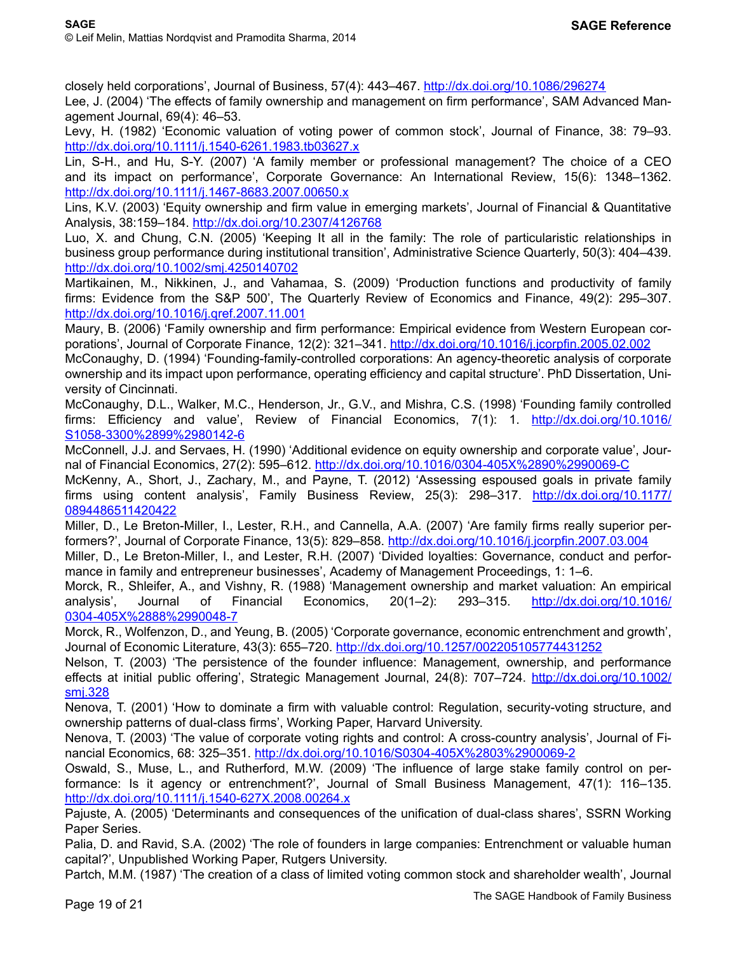closely held corporations', Journal of Business, 57(4): 443–467.<http://dx.doi.org/10.1086/296274>

Lee, J. (2004) 'The effects of family ownership and management on firm performance', SAM Advanced Management Journal, 69(4): 46–53.

Levy, H. (1982) 'Economic valuation of voting power of common stock', Journal of Finance, 38: 79–93. <http://dx.doi.org/10.1111/j.1540-6261.1983.tb03627.x>

Lin, S-H., and Hu, S-Y. (2007) 'A family member or professional management? The choice of a CEO and its impact on performance', Corporate Governance: An International Review, 15(6): 1348–1362. <http://dx.doi.org/10.1111/j.1467-8683.2007.00650.x>

Lins, K.V. (2003) 'Equity ownership and firm value in emerging markets', Journal of Financial & Quantitative Analysis, 38:159–184.<http://dx.doi.org/10.2307/4126768>

Luo, X. and Chung, C.N. (2005) 'Keeping It all in the family: The role of particularistic relationships in business group performance during institutional transition', Administrative Science Quarterly, 50(3): 404–439. <http://dx.doi.org/10.1002/smj.4250140702>

Martikainen, M., Nikkinen, J., and Vahamaa, S. (2009) 'Production functions and productivity of family firms: Evidence from the S&P 500', The Quarterly Review of Economics and Finance, 49(2): 295–307. <http://dx.doi.org/10.1016/j.qref.2007.11.001>

Maury, B. (2006) 'Family ownership and firm performance: Empirical evidence from Western European corporations', Journal of Corporate Finance, 12(2): 321-341. http://dx.doi.org/10.1016/j.jcorpfin.2005.02.002

McConaughy, D. (1994) 'Founding-family-controlled corporations: An agency-theoretic analysis of corporate ownership and its impact upon performance, operating efficiency and capital structure'. PhD Dissertation, University of Cincinnati.

McConaughy, D.L., Walker, M.C., Henderson, Jr., G.V., and Mishra, C.S. (1998) 'Founding family controlled firms: Efficiency and value', Review of Financial Economics, 7(1): 1. [http://dx.doi.org/10.1016/](http://dx.doi.org/10.1016/S1058-3300%2899%2980142-6) [S1058-3300%2899%2980142-6](http://dx.doi.org/10.1016/S1058-3300%2899%2980142-6)

McConnell, J.J. and Servaes, H. (1990) 'Additional evidence on equity ownership and corporate value', Journal of Financial Economics, 27(2): 595–612. <http://dx.doi.org/10.1016/0304-405X%2890%2990069-C>

McKenny, A., Short, J., Zachary, M., and Payne, T. (2012) 'Assessing espoused goals in private family firms using content analysis', Family Business Review, 25(3): 298-317. [http://dx.doi.org/10.1177/](http://dx.doi.org/10.1177/0894486511420422) [0894486511420422](http://dx.doi.org/10.1177/0894486511420422) 

Miller, D., Le Breton-Miller, I., Lester, R.H., and Cannella, A.A. (2007) 'Are family firms really superior performers?', Journal of Corporate Finance, 13(5): 829–858.<http://dx.doi.org/10.1016/j.jcorpfin.2007.03.004>

Miller, D., Le Breton-Miller, I., and Lester, R.H. (2007) 'Divided loyalties: Governance, conduct and performance in family and entrepreneur businesses', Academy of Management Proceedings, 1: 1–6.

Morck, R., Shleifer, A., and Vishny, R. (1988) 'Management ownership and market valuation: An empirical analysis', Journal of Financial Economics, 20(1–2): 293–315. [http://dx.doi.org/10.1016/](http://dx.doi.org/10.1016/0304-405X%2888%2990048-7) [0304-405X%2888%2990048-7](http://dx.doi.org/10.1016/0304-405X%2888%2990048-7) 

Morck, R., Wolfenzon, D., and Yeung, B. (2005) 'Corporate governance, economic entrenchment and growth', Journal of Economic Literature, 43(3): 655–720.<http://dx.doi.org/10.1257/002205105774431252>

Nelson, T. (2003) 'The persistence of the founder influence: Management, ownership, and performance effects at initial public offering', Strategic Management Journal, 24(8): 707–724. [http://dx.doi.org/10.1002/](http://dx.doi.org/10.1002/smj.328) [smj.328](http://dx.doi.org/10.1002/smj.328) 

Nenova, T. (2001) 'How to dominate a firm with valuable control: Regulation, security-voting structure, and ownership patterns of dual-class firms', Working Paper, Harvard University.

Nenova, T. (2003) 'The value of corporate voting rights and control: A cross-country analysis', Journal of Financial Economics, 68: 325–351. <http://dx.doi.org/10.1016/S0304-405X%2803%2900069-2>

Oswald, S., Muse, L., and Rutherford, M.W. (2009) 'The influence of large stake family control on performance: Is it agency or entrenchment?', Journal of Small Business Management, 47(1): 116–135. <http://dx.doi.org/10.1111/j.1540-627X.2008.00264.x>

Pajuste, A. (2005) 'Determinants and consequences of the unification of dual-class shares', SSRN Working Paper Series.

Palia, D. and Ravid, S.A. (2002) 'The role of founders in large companies: Entrenchment or valuable human capital?', Unpublished Working Paper, Rutgers University.

Partch, M.M. (1987) 'The creation of a class of limited voting common stock and shareholder wealth', Journal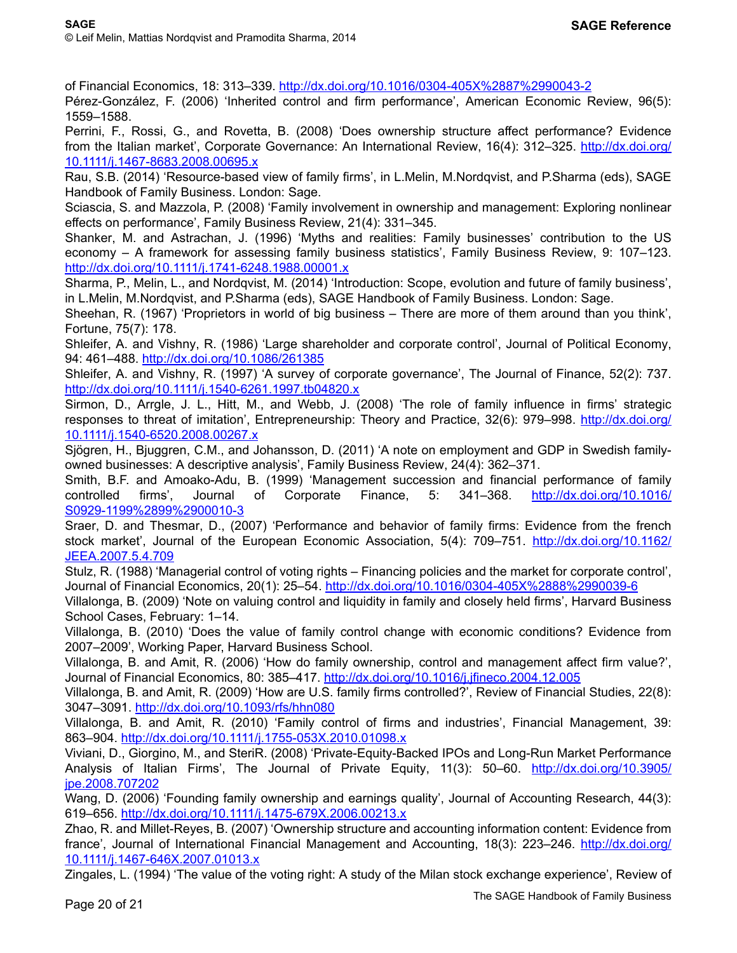of Financial Economics, 18: 313–339.<http://dx.doi.org/10.1016/0304-405X%2887%2990043-2>

Pérez-González, F. (2006) 'Inherited control and firm performance', American Economic Review, 96(5): 1559–1588.

Perrini, F., Rossi, G., and Rovetta, B. (2008) 'Does ownership structure affect performance? Evidence from the Italian market', Corporate Governance: An International Review, 16(4): 312–325. [http://dx.doi.org/](http://dx.doi.org/10.1111/j.1467-8683.2008.00695.x) [10.1111/j.1467-8683.2008.00695.x](http://dx.doi.org/10.1111/j.1467-8683.2008.00695.x) 

Rau, S.B. (2014) 'Resource-based view of family firms', in L.Melin, M.Nordqvist, and P.Sharma (eds), SAGE Handbook of Family Business. London: Sage.

Sciascia, S. and Mazzola, P. (2008) 'Family involvement in ownership and management: Exploring nonlinear effects on performance', Family Business Review, 21(4): 331–345.

Shanker, M. and Astrachan, J. (1996) 'Myths and realities: Family businesses' contribution to the US economy – A framework for assessing family business statistics', Family Business Review, 9: 107–123. <http://dx.doi.org/10.1111/j.1741-6248.1988.00001.x>

Sharma, P., Melin, L., and Nordqvist, M. (2014) 'Introduction: Scope, evolution and future of family business', in L.Melin, M.Nordqvist, and P.Sharma (eds), SAGE Handbook of Family Business. London: Sage.

Sheehan, R. (1967) 'Proprietors in world of big business – There are more of them around than you think', Fortune, 75(7): 178.

Shleifer, A. and Vishny, R. (1986) 'Large shareholder and corporate control', Journal of Political Economy, 94: 461–488.<http://dx.doi.org/10.1086/261385>

Shleifer, A. and Vishny, R. (1997) 'A survey of corporate governance', The Journal of Finance, 52(2): 737. <http://dx.doi.org/10.1111/j.1540-6261.1997.tb04820.x>

Sirmon, D., Arrgle, J. L., Hitt, M., and Webb, J. (2008) 'The role of family influence in firms' strategic responses to threat of imitation', Entrepreneurship: Theory and Practice, 32(6): 979–998. [http://dx.doi.org/](http://dx.doi.org/10.1111/j.1540-6520.2008.00267.x) [10.1111/j.1540-6520.2008.00267.x](http://dx.doi.org/10.1111/j.1540-6520.2008.00267.x) 

Sjögren, H., Bjuggren, C.M., and Johansson, D. (2011) 'A note on employment and GDP in Swedish familyowned businesses: A descriptive analysis', Family Business Review, 24(4): 362–371.

Smith, B.F. and Amoako-Adu, B. (1999) 'Management succession and financial performance of family controlled firms', Journal of Corporate Finance, 5: 341–368. [http://dx.doi.org/10.1016/](http://dx.doi.org/10.1016/S0929-1199%2899%2900010-3) [S0929-1199%2899%2900010-3](http://dx.doi.org/10.1016/S0929-1199%2899%2900010-3) 

Sraer, D. and Thesmar, D., (2007) 'Performance and behavior of family firms: Evidence from the french stock market', Journal of the European Economic Association, 5(4): 709–751. [http://dx.doi.org/10.1162/](http://dx.doi.org/10.1162/JEEA.2007.5.4.709) [JEEA.2007.5.4.709](http://dx.doi.org/10.1162/JEEA.2007.5.4.709)

Stulz, R. (1988) 'Managerial control of voting rights – Financing policies and the market for corporate control', Journal of Financial Economics, 20(1): 25–54. <http://dx.doi.org/10.1016/0304-405X%2888%2990039-6>

Villalonga, B. (2009) 'Note on valuing control and liquidity in family and closely held firms', Harvard Business School Cases, February: 1–14.

Villalonga, B. (2010) 'Does the value of family control change with economic conditions? Evidence from 2007–2009', Working Paper, Harvard Business School.

Villalonga, B. and Amit, R. (2006) 'How do family ownership, control and management affect firm value?', Journal of Financial Economics, 80: 385–417.<http://dx.doi.org/10.1016/j.jfineco.2004.12.005>

Villalonga, B. and Amit, R. (2009) 'How are U.S. family firms controlled?', Review of Financial Studies, 22(8): 3047–3091.<http://dx.doi.org/10.1093/rfs/hhn080>

Villalonga, B. and Amit, R. (2010) 'Family control of firms and industries', Financial Management, 39: 863–904. <http://dx.doi.org/10.1111/j.1755-053X.2010.01098.x>

Viviani, D., Giorgino, M., and SteriR. (2008) 'Private-Equity-Backed IPOs and Long-Run Market Performance Analysis of Italian Firms', The Journal of Private Equity, 11(3): 50-60. [http://dx.doi.org/10.3905/](http://dx.doi.org/10.3905/jpe.2008.707202) [jpe.2008.707202](http://dx.doi.org/10.3905/jpe.2008.707202)

Wang, D. (2006) 'Founding family ownership and earnings quality', Journal of Accounting Research, 44(3): 619–656. <http://dx.doi.org/10.1111/j.1475-679X.2006.00213.x>

Zhao, R. and Millet-Reyes, B. (2007) 'Ownership structure and accounting information content: Evidence from france', Journal of International Financial Management and Accounting, 18(3): 223–246. [http://dx.doi.org/](http://dx.doi.org/10.1111/j.1467-646X.2007.01013.x) [10.1111/j.1467-646X.2007.01013.x](http://dx.doi.org/10.1111/j.1467-646X.2007.01013.x) 

Zingales, L. (1994) 'The value of the voting right: A study of the Milan stock exchange experience', Review of